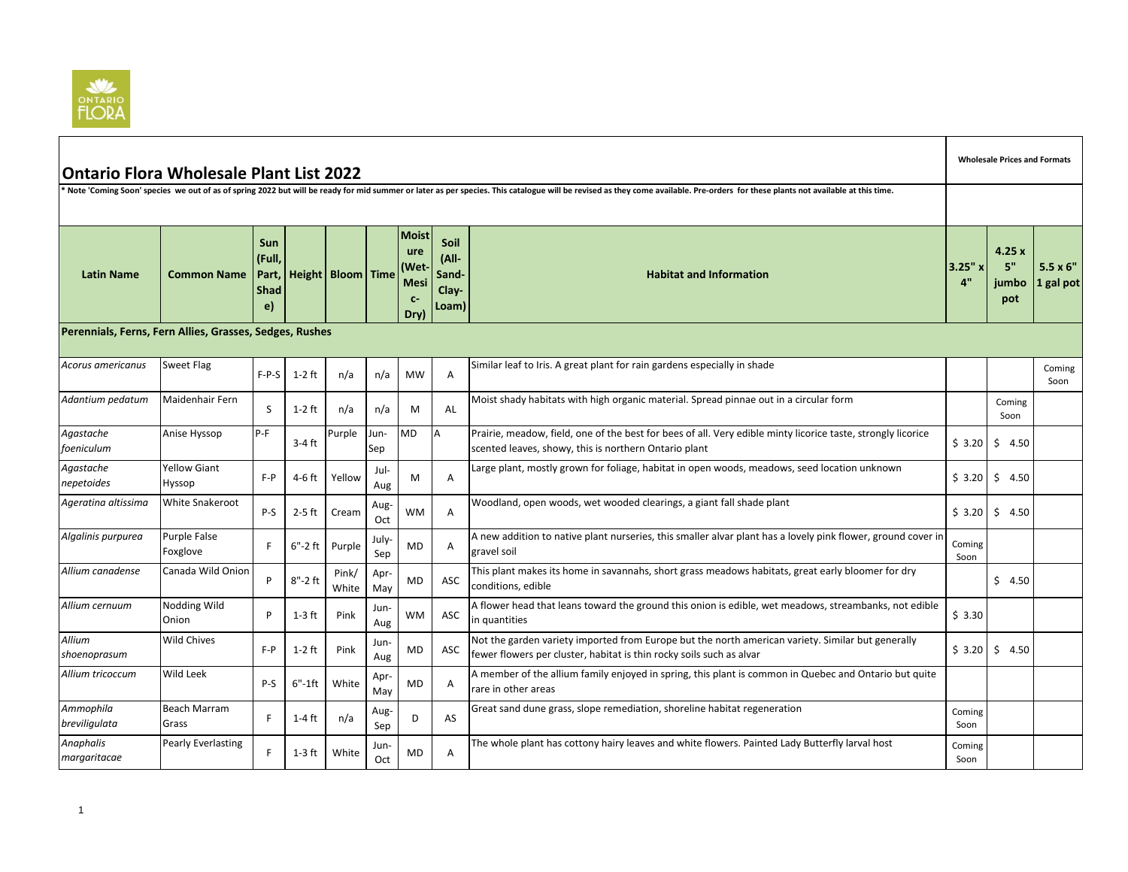

| <b>Ontario Flora Wholesale Plant List 2022</b><br>Note 'Coming Soon' species we out of as of spring 2022 but will be ready for mid summer or later as per species. This catalogue will be revised as they come available. Pre-orders for these plants not available at this time |                                                                                                                                                          |                                                    |             |                          |             |                                                                  |                                          |                                                                                                                                                                           |                |                             | <b>Wholesale Prices and Formats</b> |  |  |  |  |
|----------------------------------------------------------------------------------------------------------------------------------------------------------------------------------------------------------------------------------------------------------------------------------|----------------------------------------------------------------------------------------------------------------------------------------------------------|----------------------------------------------------|-------------|--------------------------|-------------|------------------------------------------------------------------|------------------------------------------|---------------------------------------------------------------------------------------------------------------------------------------------------------------------------|----------------|-----------------------------|-------------------------------------|--|--|--|--|
|                                                                                                                                                                                                                                                                                  |                                                                                                                                                          |                                                    |             |                          |             |                                                                  |                                          |                                                                                                                                                                           |                |                             |                                     |  |  |  |  |
| <b>Latin Name</b>                                                                                                                                                                                                                                                                | <b>Common Name</b>                                                                                                                                       | <b>Sun</b><br>(Full,<br>Part,<br><b>Shad</b><br>e) |             | <b>Height Bloom Time</b> |             | <b>Moist</b><br>ure<br>(Wet<br><b>Mesi</b><br>$C-$<br><b>Dry</b> | Soil<br>(All-<br>Sand-<br>Clay-<br>Loam) | <b>Habitat and Information</b>                                                                                                                                            | 3.25"<br>4"    | 4.25x<br>5"<br>jumbo<br>pot | $5.5 \times 6$ "<br>1 gal pot       |  |  |  |  |
|                                                                                                                                                                                                                                                                                  | Perennials, Ferns, Fern Allies, Grasses, Sedges, Rushes<br><b>Sweet Flag</b><br>Similar leaf to Iris. A great plant for rain gardens especially in shade |                                                    |             |                          |             |                                                                  |                                          |                                                                                                                                                                           |                |                             |                                     |  |  |  |  |
| Acorus americanus                                                                                                                                                                                                                                                                |                                                                                                                                                          | $F-P-S$                                            | $1-2$ ft    | n/a                      | n/a         | <b>MW</b>                                                        | $\overline{A}$                           |                                                                                                                                                                           |                |                             | Coming<br>Soon                      |  |  |  |  |
| Adantium pedatum                                                                                                                                                                                                                                                                 | Maidenhair Fern                                                                                                                                          | S                                                  | $1-2$ ft    | n/a                      | n/a         | M                                                                | AL                                       | Moist shady habitats with high organic material. Spread pinnae out in a circular form                                                                                     |                | Coming<br>Soon              |                                     |  |  |  |  |
| Agastache<br>foeniculum                                                                                                                                                                                                                                                          | Anise Hyssop                                                                                                                                             | P-F                                                | $3-4$ ft    | Purple                   | Jun-<br>Sep | <b>MD</b>                                                        | A                                        | Prairie, meadow, field, one of the best for bees of all. Very edible minty licorice taste, strongly licorice<br>scented leaves, showy, this is northern Ontario plant     | \$3.20         | 54.50                       |                                     |  |  |  |  |
| Agastache<br>nepetoides                                                                                                                                                                                                                                                          | <b>Yellow Giant</b><br>Hyssop                                                                                                                            | $F - P$                                            | $4-6$ ft    | Yellow                   | Jul-<br>Aug | M                                                                | A                                        | Large plant, mostly grown for foliage, habitat in open woods, meadows, seed location unknown                                                                              | \$3.20         | \$<br>4.50                  |                                     |  |  |  |  |
| Ageratina altissima                                                                                                                                                                                                                                                              | <b>White Snakeroot</b>                                                                                                                                   | P-S                                                | $2-5$ ft    | Cream                    | Aug-<br>Oct | WM                                                               | $\overline{A}$                           | Woodland, open woods, wet wooded clearings, a giant fall shade plant                                                                                                      | \$3.20         | Ŝ.<br>4.50                  |                                     |  |  |  |  |
| Algalinis purpurea                                                                                                                                                                                                                                                               | <b>Purple False</b><br>Foxglove                                                                                                                          | F                                                  | $6" - 2$ ft | Purple                   | July<br>Sep | MD                                                               | A                                        | A new addition to native plant nurseries, this smaller alvar plant has a lovely pink flower, ground cover in<br>gravel soil                                               | Coming<br>Soon |                             |                                     |  |  |  |  |
| Allium canadense                                                                                                                                                                                                                                                                 | Canada Wild Onion                                                                                                                                        | P                                                  | $8" - 2$ ft | Pink/<br>White           | Apr-<br>May | MD                                                               | ASC                                      | This plant makes its home in savannahs, short grass meadows habitats, great early bloomer for dry<br>conditions, edible                                                   |                | \$4.50                      |                                     |  |  |  |  |
| Allium cernuum                                                                                                                                                                                                                                                                   | Nodding Wild<br>Onion                                                                                                                                    | P                                                  | $1-3$ ft    | Pink                     | Jun-<br>Aug | WМ                                                               | ASC                                      | A flower head that leans toward the ground this onion is edible, wet meadows, streambanks, not edible<br>in quantities                                                    | \$3.30         |                             |                                     |  |  |  |  |
| Allium<br>shoenoprasum                                                                                                                                                                                                                                                           | <b>Wild Chives</b>                                                                                                                                       | $F - P$                                            | $1-2$ ft    | Pink                     | Jun-<br>Aug | MD                                                               | ASC                                      | Not the garden variety imported from Europe but the north american variety. Similar but generally<br>fewer flowers per cluster, habitat is thin rocky soils such as alvar | \$3.20         | \$4.50                      |                                     |  |  |  |  |
| Allium tricoccum                                                                                                                                                                                                                                                                 | Wild Leek                                                                                                                                                | $P-S$                                              | 6"-1ft      | White                    | Apr-<br>May | MD                                                               | A                                        | A member of the allium family enjoyed in spring, this plant is common in Quebec and Ontario but quite<br>rare in other areas                                              |                |                             |                                     |  |  |  |  |
| Ammophila<br>breviligulata                                                                                                                                                                                                                                                       | <b>Beach Marram</b><br>Grass                                                                                                                             | F                                                  | $1-4$ ft    | n/a                      | Aug-<br>Sep | D                                                                | AS                                       | Great sand dune grass, slope remediation, shoreline habitat regeneration                                                                                                  | Coming<br>Soon |                             |                                     |  |  |  |  |
| Anaphalis<br>margaritacae                                                                                                                                                                                                                                                        | Pearly Everlasting                                                                                                                                       | F                                                  | $1-3$ ft    | White                    | Jun-<br>Oct | MD                                                               | A                                        | The whole plant has cottony hairy leaves and white flowers. Painted Lady Butterfly larval host                                                                            | Coming<br>Soon |                             |                                     |  |  |  |  |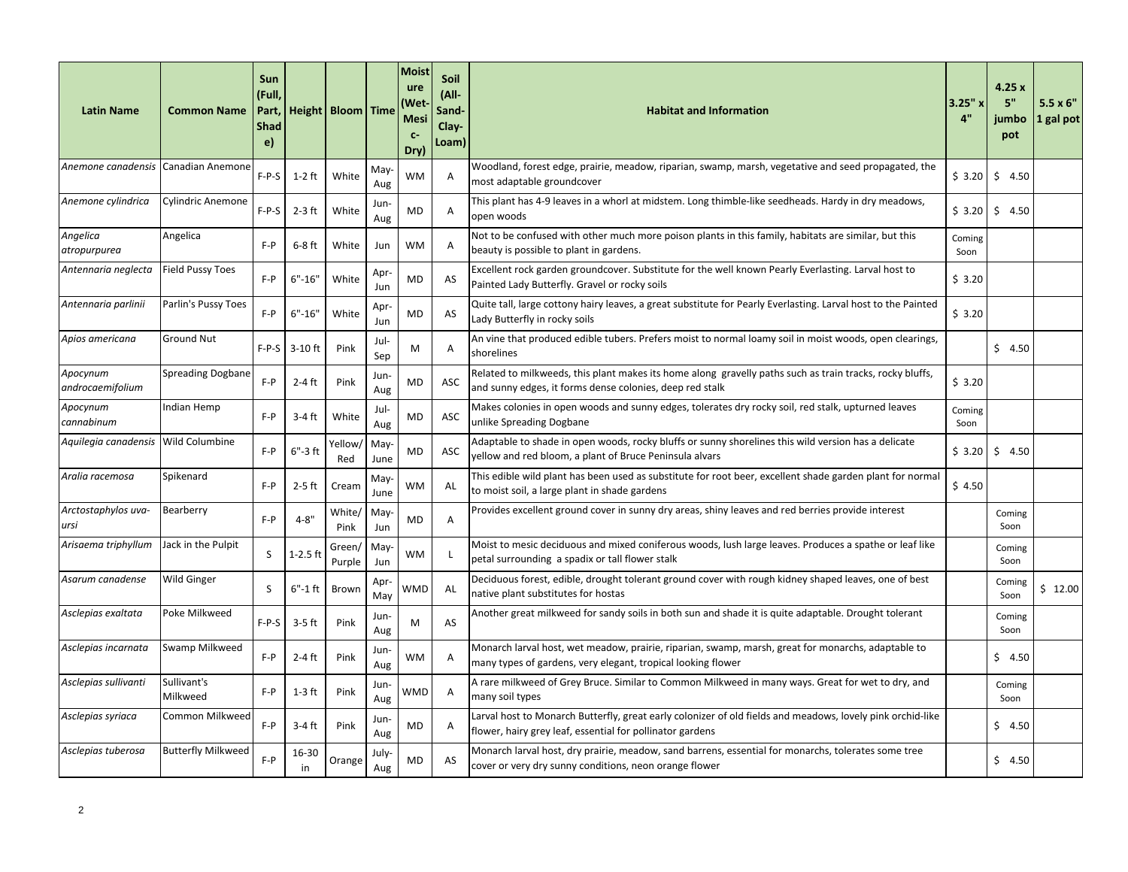| <b>Latin Name</b>                   | <b>Common Name</b>        | Sun<br>(Full,<br>Part,<br><b>Shad</b><br>e) |             | Height   Bloom   Time |              | Moist<br>ure<br>Wet<br><b>Mesi</b><br>$C-$<br>Dry) | Soil<br>(All-<br>Sand-<br>Clay-<br>Loam) | <b>Habitat and Information</b>                                                                                                                                          | 3.25"x<br>4"   | 4.25x<br>5"<br>jumbo<br>pot | $5.5 \times 6$ "<br>1 gal pot |
|-------------------------------------|---------------------------|---------------------------------------------|-------------|-----------------------|--------------|----------------------------------------------------|------------------------------------------|-------------------------------------------------------------------------------------------------------------------------------------------------------------------------|----------------|-----------------------------|-------------------------------|
| Anemone canadensis                  | Canadian Anemone          | $F-P-S$                                     | $1-2$ ft    | White                 | May<br>Aug   | <b>WM</b>                                          | A                                        | Woodland, forest edge, prairie, meadow, riparian, swamp, marsh, vegetative and seed propagated, the<br>most adaptable groundcover                                       | \$3.20         | 5, 4.50                     |                               |
| Anemone cylindrica                  | <b>Cylindric Anemone</b>  | $F-P-S$                                     | $2-3$ ft    | White                 | Jun-<br>Aug  | MD                                                 | Α                                        | This plant has 4-9 leaves in a whorl at midstem. Long thimble-like seedheads. Hardy in dry meadows,<br>open woods                                                       | \$3.20         | \$4.50                      |                               |
| Angelica<br>atropurpurea            | Angelica                  | $F - P$                                     | $6-8$ ft    | White                 | Jun          | <b>WM</b>                                          | A                                        | Not to be confused with other much more poison plants in this family, habitats are similar, but this<br>beauty is possible to plant in gardens.                         | Coming<br>Soon |                             |                               |
| Antennaria neglecta                 | <b>Field Pussy Toes</b>   | $F - P$                                     | $6" - 16"$  | White                 | Apr-<br>Jun  | MD                                                 | AS                                       | Excellent rock garden groundcover. Substitute for the well known Pearly Everlasting. Larval host to<br>Painted Lady Butterfly. Gravel or rocky soils                    | \$3.20         |                             |                               |
| Antennaria parlinii                 | Parlin's Pussy Toes       | $F - P$                                     | $6" - 16"$  | White                 | Apr<br>Jun   | <b>MD</b>                                          | AS                                       | Quite tall, large cottony hairy leaves, a great substitute for Pearly Everlasting. Larval host to the Painted<br>Lady Butterfly in rocky soils                          | \$3.20         |                             |                               |
| Apios americana                     | <b>Ground Nut</b>         | $F-P-S$                                     | $3-10$ ft   | Pink                  | Jul-<br>Sep  | M                                                  | A                                        | An vine that produced edible tubers. Prefers moist to normal loamy soil in moist woods, open clearings,<br>shorelines                                                   |                | \$4.50                      |                               |
| Apocynum<br>androcaemifolium        | <b>Spreading Dogbane</b>  | $F - P$                                     | $2-4$ ft    | Pink                  | Jun-<br>Aug  | MD                                                 | ASC                                      | Related to milkweeds, this plant makes its home along gravelly paths such as train tracks, rocky bluffs,<br>and sunny edges, it forms dense colonies, deep red stalk    | \$3.20         |                             |                               |
| Apocynum<br>cannabinum              | Indian Hemp               | $F - P$                                     | $3-4$ ft    | White                 | Jul-<br>Aug  | <b>MD</b>                                          | ASC                                      | Makes colonies in open woods and sunny edges, tolerates dry rocky soil, red stalk, upturned leaves<br>unlike Spreading Dogbane                                          | Coming<br>Soon |                             |                               |
| Aquilegia canadensis Wild Columbine |                           | $F - P$                                     | $6" - 3$ ft | Yellow/<br>Red        | May-<br>June | <b>MD</b>                                          | ASC                                      | Adaptable to shade in open woods, rocky bluffs or sunny shorelines this wild version has a delicate<br>yellow and red bloom, a plant of Bruce Peninsula alvars          | \$3.20         | \$4.50                      |                               |
| Aralia racemosa                     | Spikenard                 | $F - P$                                     | $2-5$ ft    | Cream                 | May<br>June  | <b>WM</b>                                          | AL                                       | This edible wild plant has been used as substitute for root beer, excellent shade garden plant for normal<br>to moist soil, a large plant in shade gardens              | \$4.50         |                             |                               |
| Arctostaphylos uva-<br>ursi         | Bearberry                 | $F - P$                                     | $4 - 8"$    | White/<br>Pink        | May-<br>Jun  | <b>MD</b>                                          | A                                        | Provides excellent ground cover in sunny dry areas, shiny leaves and red berries provide interest                                                                       |                | Coming<br>Soon              |                               |
| Arisaema triphyllum                 | Jack in the Pulpit        | S                                           | $1-2.5$ ft  | Green/<br>Purple      | May<br>Jun   | <b>WM</b>                                          | -L                                       | Moist to mesic deciduous and mixed coniferous woods, lush large leaves. Produces a spathe or leaf like<br>petal surrounding a spadix or tall flower stalk               |                | Coming<br>Soon              |                               |
| Asarum canadense                    | <b>Wild Ginger</b>        | <sub>S</sub>                                | 6"-1 ft     | Brown                 | Apr<br>May   | WMD                                                | AL                                       | Deciduous forest, edible, drought tolerant ground cover with rough kidney shaped leaves, one of best<br>native plant substitutes for hostas                             |                | Coming<br>Soon              | \$12.00                       |
| Asclepias exaltata                  | Poke Milkweed             | $F-P-S$                                     | $3-5$ ft    | Pink                  | Jun-<br>Aug  | M                                                  | AS                                       | Another great milkweed for sandy soils in both sun and shade it is quite adaptable. Drought tolerant                                                                    |                | Coming<br>Soon              |                               |
| Asclepias incarnata                 | Swamp Milkweed            | $F - P$                                     | $2-4$ ft    | Pink                  | Jun-<br>Aug  | <b>WM</b>                                          | A                                        | Monarch larval host, wet meadow, prairie, riparian, swamp, marsh, great for monarchs, adaptable to<br>many types of gardens, very elegant, tropical looking flower      |                | \$4.50                      |                               |
| Asclepias sullivanti                | Sullivant's<br>Milkweed   | $F - P$                                     | $1-3$ ft    | Pink                  | Jun-<br>Aug  | WMD                                                | A                                        | A rare milkweed of Grey Bruce. Similar to Common Milkweed in many ways. Great for wet to dry, and<br>many soil types                                                    |                | Coming<br>Soon              |                               |
| Asclepias syriaca                   | Common Milkweed           | $F - P$                                     | 3-4 ft      | Pink                  | Jun-<br>Aug  | <b>MD</b>                                          | A                                        | Larval host to Monarch Butterfly, great early colonizer of old fields and meadows, lovely pink orchid-like<br>flower, hairy grey leaf, essential for pollinator gardens |                | \$4.50                      |                               |
| Asclepias tuberosa                  | <b>Butterfly Milkweed</b> | $F - P$                                     | 16-30<br>in | Orange                | July-<br>Aug | <b>MD</b>                                          | AS                                       | Monarch larval host, dry prairie, meadow, sand barrens, essential for monarchs, tolerates some tree<br>cover or very dry sunny conditions, neon orange flower           |                | \$4.50                      |                               |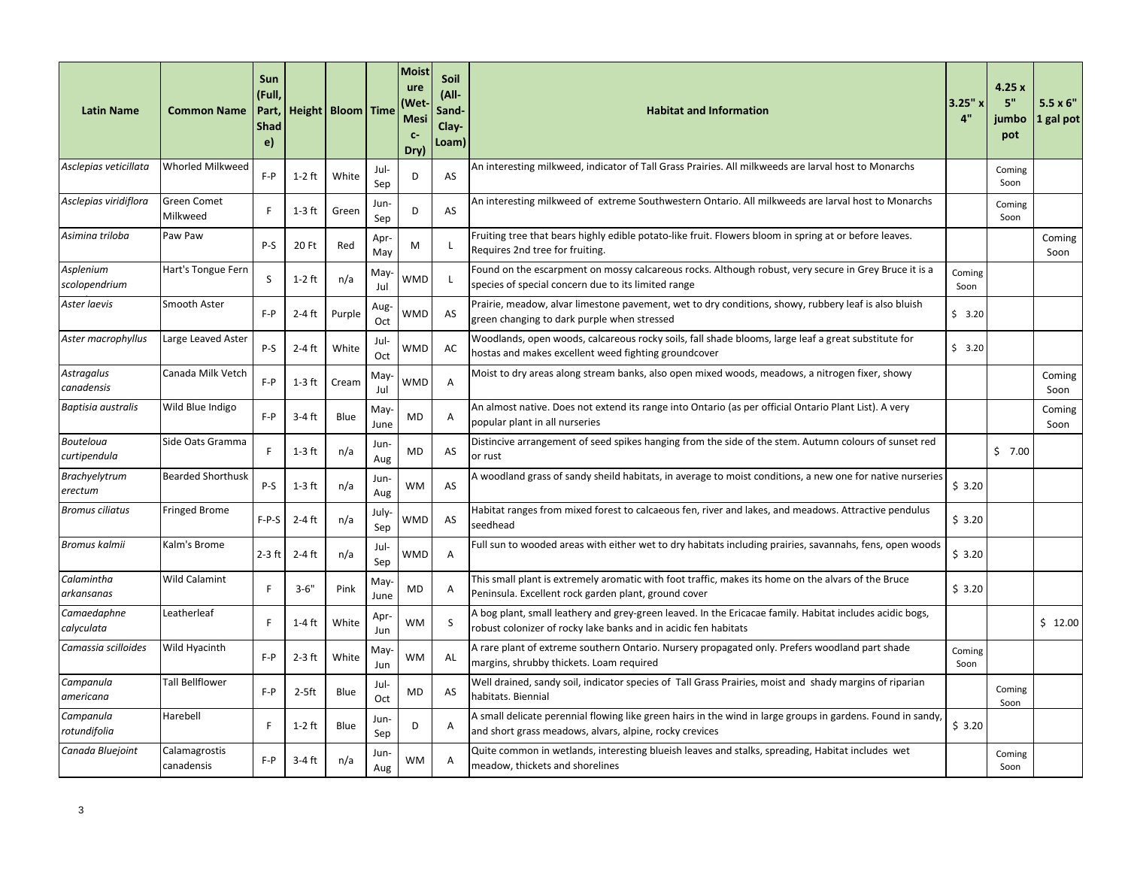| <b>Latin Name</b>                        | <b>Common Name</b>             | Sun<br>(Full,<br>Part,<br><b>Shad</b><br>e) |          | Height   Bloom   Time |              | Moist<br>ure<br>Wet<br><b>Mesi</b><br>$C-$<br>Dry) | Soil<br>(All-<br>Sand-<br>Clay-<br>Loam) | <b>Habitat and Information</b>                                                                                                                                              | 3.25"x<br>4"   | 4.25x<br>5"<br>iumbo<br>pot | $5.5 \times 6$ "<br>1 gal pot |
|------------------------------------------|--------------------------------|---------------------------------------------|----------|-----------------------|--------------|----------------------------------------------------|------------------------------------------|-----------------------------------------------------------------------------------------------------------------------------------------------------------------------------|----------------|-----------------------------|-------------------------------|
| Asclepias veticillata                    | <b>Whorled Milkweed</b>        | $F - P$                                     | $1-2$ ft | White                 | Jul-<br>Sep  | D                                                  | AS                                       | An interesting milkweed, indicator of Tall Grass Prairies. All milkweeds are larval host to Monarchs                                                                        |                | Coming<br>Soon              |                               |
| Asclepias viridiflora                    | <b>Green Comet</b><br>Milkweed | F                                           | $1-3$ ft | Green                 | Jun-<br>Sep  | D                                                  | AS                                       | An interesting milkweed of extreme Southwestern Ontario. All milkweeds are larval host to Monarchs                                                                          |                | Coming<br>Soon              |                               |
| Asimina triloba                          | Paw Paw                        | $P-S$                                       | 20 Ft    | Red                   | Apr-<br>May  | M                                                  | $\mathbf{I}$                             | Fruiting tree that bears highly edible potato-like fruit. Flowers bloom in spring at or before leaves.<br>Requires 2nd tree for fruiting.                                   |                |                             | Coming<br>Soon                |
| Asplenium<br>scolopendrium               | Hart's Tongue Fern             | S                                           | $1-2$ ft | n/a                   | May<br>Jul   | WMD                                                | -L                                       | Found on the escarpment on mossy calcareous rocks. Although robust, very secure in Grey Bruce it is a<br>species of special concern due to its limited range                | Coming<br>Soon |                             |                               |
| Aster laevis                             | Smooth Aster                   | $F - P$                                     | $2-4$ ft | Purple                | Aug-<br>Oct  | WMD                                                | AS                                       | Prairie, meadow, alvar limestone pavement, wet to dry conditions, showy, rubbery leaf is also bluish<br>green changing to dark purple when stressed                         | \$3.20         |                             |                               |
| Aster macrophyllus                       | Large Leaved Aster             | $P-S$                                       | $2-4$ ft | White                 | Jul-<br>Oct  | WMD                                                | AC                                       | Woodlands, open woods, calcareous rocky soils, fall shade blooms, large leaf a great substitute for<br>hostas and makes excellent weed fighting groundcover                 | \$3.20         |                             |                               |
| Astragalus<br>canadensis                 | Canada Milk Vetch              | $F - P$                                     | $1-3$ ft | Cream                 | May<br>Jul   | WMD                                                | A                                        | Moist to dry areas along stream banks, also open mixed woods, meadows, a nitrogen fixer, showy                                                                              |                |                             | Coming<br>Soon                |
| Baptisia australis                       | Wild Blue Indigo               | $F - P$                                     | $3-4$ ft | Blue                  | May<br>June  | MD                                                 | Α                                        | An almost native. Does not extend its range into Ontario (as per official Ontario Plant List). A very<br>popular plant in all nurseries                                     |                |                             | Coming<br>Soon                |
| Bouteloua<br>curtipendula                | Side Oats Gramma               | F                                           | $1-3$ ft | n/a                   | Jun-<br>Aug  | <b>MD</b>                                          | AS                                       | Distincive arrangement of seed spikes hanging from the side of the stem. Autumn colours of sunset red<br>or rust                                                            |                | 57.00                       |                               |
| <b>Brachyelytrum</b><br>$\emph{erectum}$ | <b>Bearded Shorthusk</b>       | $P-S$                                       | $1-3$ ft | n/a                   | Jun-<br>Aug  | <b>WM</b>                                          | AS                                       | A woodland grass of sandy sheild habitats, in average to moist conditions, a new one for native nurseries                                                                   | \$3.20         |                             |                               |
| <b>Bromus ciliatus</b>                   | <b>Fringed Brome</b>           | $F-P-S$                                     | $2-4$ ft | n/a                   | July-<br>Sep | WMD                                                | AS                                       | Habitat ranges from mixed forest to calcaeous fen, river and lakes, and meadows. Attractive pendulus<br>seedhead                                                            | \$3.20         |                             |                               |
| Bromus kalmii                            | Kalm's Brome                   | $2-3$ ft                                    | $2-4$ ft | n/a                   | Jul-<br>Sep  | WMD                                                | A                                        | Full sun to wooded areas with either wet to dry habitats including prairies, savannahs, fens, open woods                                                                    | \$3.20         |                             |                               |
| Calamintha<br>arkansanas                 | <b>Wild Calamint</b>           | F                                           | $3 - 6"$ | Pink                  | May-<br>June | MD                                                 | A                                        | This small plant is extremely aromatic with foot traffic, makes its home on the alvars of the Bruce<br>Peninsula. Excellent rock garden plant, ground cover                 | \$3.20         |                             |                               |
| Camaedaphne<br>calyculata                | Leatherleaf                    | F                                           | $1-4$ ft | White                 | Apr<br>Jun   | <b>WM</b>                                          | S                                        | A bog plant, small leathery and grey-green leaved. In the Ericacae family. Habitat includes acidic bogs,<br>robust colonizer of rocky lake banks and in acidic fen habitats |                |                             | \$12.00                       |
| Camassia scilloides                      | Wild Hyacinth                  | $F - P$                                     | $2-3$ ft | White                 | May-<br>Jun  | <b>WM</b>                                          | AL                                       | A rare plant of extreme southern Ontario. Nursery propagated only. Prefers woodland part shade<br>margins, shrubby thickets. Loam required                                  | Coming<br>Soon |                             |                               |
| Campanula<br>americana                   | <b>Tall Bellflower</b>         | $F - P$                                     | 2-5ft    | Blue                  | Jul-<br>Oct  | MD                                                 | AS                                       | Well drained, sandy soil, indicator species of Tall Grass Prairies, moist and shady margins of riparian<br>habitats. Biennial                                               |                | Coming<br>Soon              |                               |
| Campanula<br>rotundifolia                | Harebell                       | F                                           | $1-2$ ft | Blue                  | Jun-<br>Sep  | D                                                  | Α                                        | A small delicate perennial flowing like green hairs in the wind in large groups in gardens. Found in sandy,<br>and short grass meadows, alvars, alpine, rocky crevices      | \$3.20         |                             |                               |
| Canada Bluejoint                         | Calamagrostis<br>canadensis    | $F - P$                                     | 3-4 ft   | n/a                   | Jun-<br>Aug  | <b>WM</b>                                          | A                                        | Quite common in wetlands, interesting blueish leaves and stalks, spreading, Habitat includes wet<br>meadow, thickets and shorelines                                         |                | Coming<br>Soon              |                               |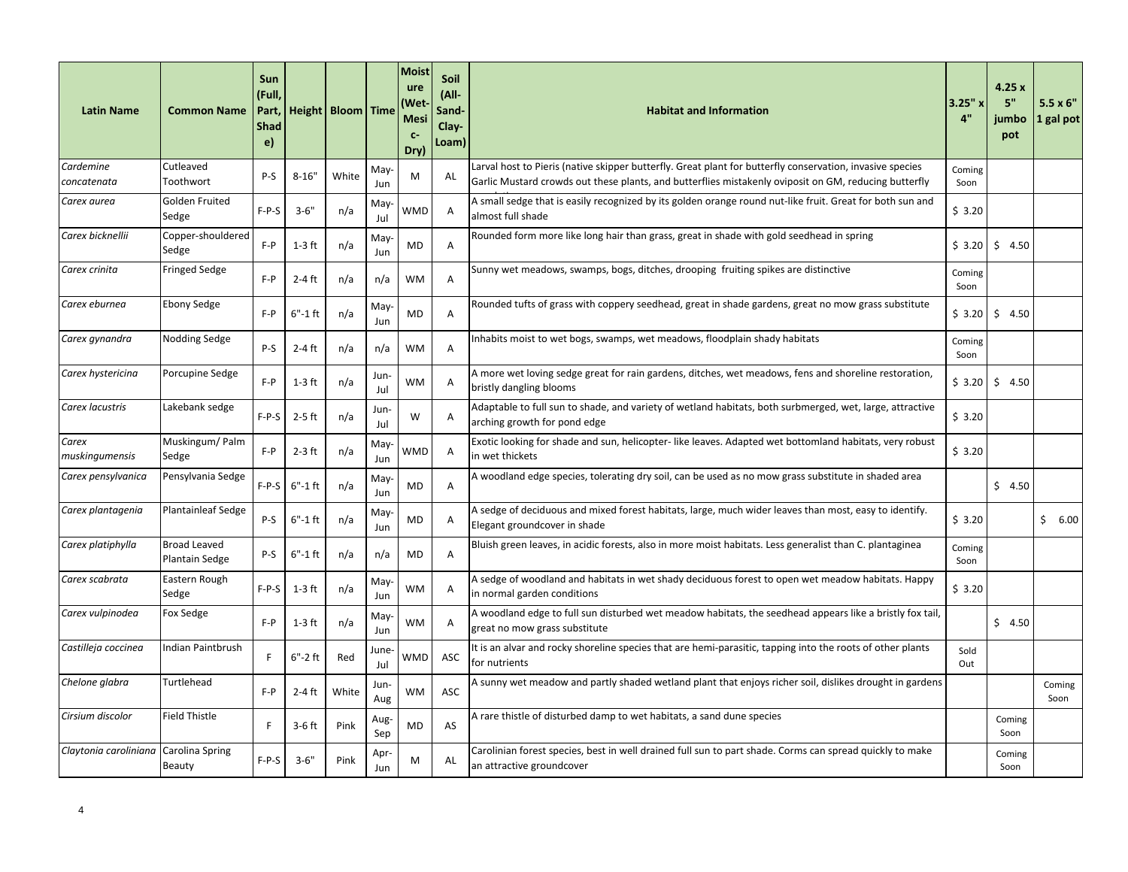| <b>Latin Name</b>        | <b>Common Name</b>                    | Sun<br>(Full,<br>Part,<br><b>Shad</b><br>e) |             | Height   Bloom   Time |              | <b>Moist</b><br>ure<br>Wet)<br><b>Mesi</b><br>$C-$<br>Dry) | Soil<br>(All-<br>Sand-<br>Clay-<br>Loam) | <b>Habitat and Information</b>                                                                                                                                                                                     | $3.25"$ x<br>4" | 4.25x<br>5"<br>iumbo<br>pot | $5.5 \times 6"$<br>1 gal pot |
|--------------------------|---------------------------------------|---------------------------------------------|-------------|-----------------------|--------------|------------------------------------------------------------|------------------------------------------|--------------------------------------------------------------------------------------------------------------------------------------------------------------------------------------------------------------------|-----------------|-----------------------------|------------------------------|
| Cardemine<br>concatenata | Cutleaved<br>Toothwort                | P-S                                         | $8 - 16"$   | White                 | May<br>Jun   | M                                                          | AL                                       | Larval host to Pieris (native skipper butterfly. Great plant for butterfly conservation, invasive species<br>Garlic Mustard crowds out these plants, and butterflies mistakenly oviposit on GM, reducing butterfly | Coming<br>Soon  |                             |                              |
| Carex aurea              | Golden Fruited<br>Sedge               | $F-P-S$                                     | $3 - 6"$    | n/a                   | May<br>Jul   | WMD                                                        | A                                        | A small sedge that is easily recognized by its golden orange round nut-like fruit. Great for both sun and<br>almost full shade                                                                                     | \$3.20          |                             |                              |
| Carex bicknellii         | Copper-shouldered<br>Sedge            | $F - P$                                     | $1-3$ ft    | n/a                   | May<br>Jun   | MD                                                         | A                                        | Rounded form more like long hair than grass, great in shade with gold seedhead in spring                                                                                                                           | \$3.20          | \$4.50                      |                              |
| Carex crinita            | <b>Fringed Sedge</b>                  | $F - P$                                     | $2-4$ ft    | n/a                   | n/a          | <b>WM</b>                                                  | A                                        | Sunny wet meadows, swamps, bogs, ditches, drooping fruiting spikes are distinctive                                                                                                                                 | Coming<br>Soon  |                             |                              |
| Carex eburnea            | <b>Ebony Sedge</b>                    | $F - P$                                     | $6" - 1$ ft | n/a                   | May-<br>Jun  | MD                                                         | Α                                        | Rounded tufts of grass with coppery seedhead, great in shade gardens, great no mow grass substitute                                                                                                                | \$3.20          | \$4.50                      |                              |
| Carex gynandra           | Nodding Sedge                         | P-S                                         | $2-4$ ft    | n/a                   | n/a          | <b>WM</b>                                                  | Α                                        | Inhabits moist to wet bogs, swamps, wet meadows, floodplain shady habitats                                                                                                                                         | Coming<br>Soon  |                             |                              |
| Carex hystericina        | Porcupine Sedge                       | $F - P$                                     | $1-3$ ft    | n/a                   | Jun-<br>Jul  | WM                                                         | A                                        | A more wet loving sedge great for rain gardens, ditches, wet meadows, fens and shoreline restoration,<br>bristly dangling blooms                                                                                   | \$3.20          | 5, 4.50                     |                              |
| Carex lacustris          | Lakebank sedge                        | $F-P-S$                                     | $2-5$ ft    | n/a                   | Jun-<br>Jul  | W                                                          | A                                        | Adaptable to full sun to shade, and variety of wetland habitats, both surbmerged, wet, large, attractive<br>arching growth for pond edge                                                                           | \$3.20          |                             |                              |
| Carex<br>muskingumensis  | Muskingum/Palm<br>Sedge               | $F - P$                                     | $2-3$ ft    | n/a                   | May<br>Jun   | WMD                                                        | A                                        | Exotic looking for shade and sun, helicopter- like leaves. Adapted wet bottomland habitats, very robust<br>in wet thickets                                                                                         | \$3.20          |                             |                              |
| Carex pensylvanica       | Pensylvania Sedge                     | $F-P-S$                                     | $6"$ -1ft   | n/a                   | May<br>Jun   | MD                                                         | A                                        | A woodland edge species, tolerating dry soil, can be used as no mow grass substitute in shaded area                                                                                                                |                 | \$4.50                      |                              |
| Carex plantagenia        | <b>Plantainleaf Sedge</b>             | $P-S$                                       | $6"$ -1ft   | n/a                   | May-<br>Jun  | MD                                                         | A                                        | A sedge of deciduous and mixed forest habitats, large, much wider leaves than most, easy to identify.<br>Elegant groundcover in shade                                                                              | \$3.20          |                             | \$6.00                       |
| Carex platiphylla        | <b>Broad Leaved</b><br>Plantain Sedge | P-S                                         | $6"$ -1ft   | n/a                   | n/a          | <b>MD</b>                                                  | Α                                        | Bluish green leaves, in acidic forests, also in more moist habitats. Less generalist than C. plantaginea                                                                                                           | Coming<br>Soon  |                             |                              |
| Carex scabrata           | Eastern Rough<br>Sedge                | $F-P-S$                                     | 1-3 ft      | n/a                   | May<br>Jun   | WM                                                         | A                                        | A sedge of woodland and habitats in wet shady deciduous forest to open wet meadow habitats. Happy<br>in normal garden conditions                                                                                   | \$3.20          |                             |                              |
| Carex vulpinodea         | Fox Sedge                             | $F - P$                                     | 1-3 ft      | n/a                   | May<br>Jun   | WM                                                         | A                                        | A woodland edge to full sun disturbed wet meadow habitats, the seedhead appears like a bristly fox tail,<br>great no mow grass substitute                                                                          |                 | \$4.50                      |                              |
| Castilleja coccinea      | Indian Paintbrush                     | F                                           | $6"$ -2ft   | Red                   | June-<br>Jul | WMD                                                        | ASC                                      | It is an alvar and rocky shoreline species that are hemi-parasitic, tapping into the roots of other plants<br>for nutrients                                                                                        | Sold<br>Out     |                             |                              |
| Chelone glabra           | Turtlehead                            | $F - P$                                     | $2-4$ ft    | White                 | Jun-<br>Aug  | WM                                                         | ASC                                      | A sunny wet meadow and partly shaded wetland plant that enjoys richer soil, dislikes drought in gardens                                                                                                            |                 |                             | Coming<br>Soon               |
| Cirsium discolor         | <b>Field Thistle</b>                  | F                                           | $3-6$ ft    | Pink                  | Aug-<br>Sep  | <b>MD</b>                                                  | AS                                       | A rare thistle of disturbed damp to wet habitats, a sand dune species                                                                                                                                              |                 | Coming<br>Soon              |                              |
| Claytonia caroliniana    | Carolina Spring<br>Beauty             | F-P-S                                       | $3 - 6"$    | Pink                  | Apr-<br>Jun  | M                                                          | AL                                       | Carolinian forest species, best in well drained full sun to part shade. Corms can spread quickly to make<br>an attractive groundcover                                                                              |                 | Coming<br>Soon              |                              |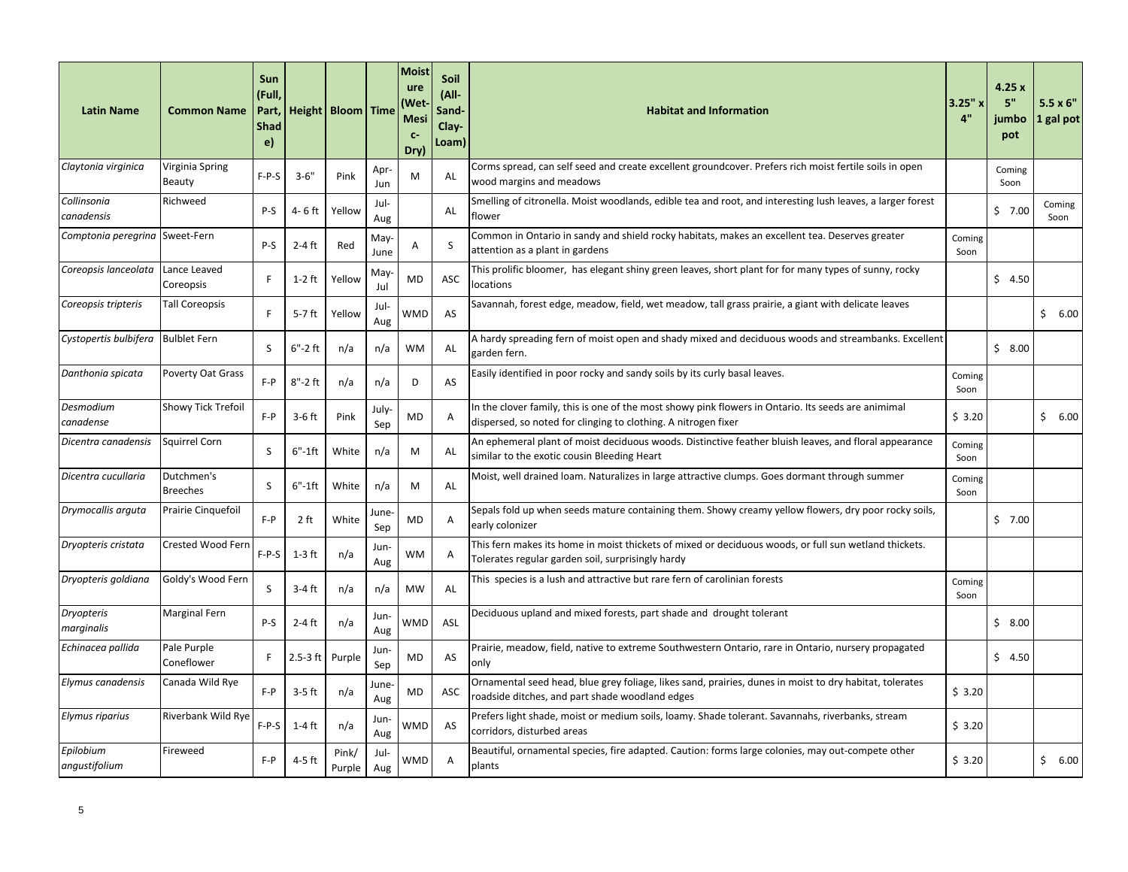| <b>Latin Name</b>                  | <b>Common Name</b>            | Sun<br>(Full,<br>Part,<br><b>Shad</b><br>e) |             | Height   Bloom   Time |              | <b>Moist</b><br>ure<br>Wet)<br><b>Mesi</b><br>$C-$<br>Dry) | Soil<br>$(AII -$<br>Sand-<br>Clay-<br>Loam) | <b>Habitat and Information</b>                                                                                                                                        | $3.25"$ x<br>4" | 4.25x<br>5"<br>iumbo<br>pot | $5.5 \times 6"$<br>1 gal pot |
|------------------------------------|-------------------------------|---------------------------------------------|-------------|-----------------------|--------------|------------------------------------------------------------|---------------------------------------------|-----------------------------------------------------------------------------------------------------------------------------------------------------------------------|-----------------|-----------------------------|------------------------------|
| Claytonia virginica                | Virginia Spring<br>Beauty     | $F-P-S$                                     | $3 - 6"$    | Pink                  | Apr<br>Jun   | M                                                          | AL                                          | Corms spread, can self seed and create excellent groundcover. Prefers rich moist fertile soils in open<br>wood margins and meadows                                    |                 | Coming<br>Soon              |                              |
| Collinsonia<br>canadensis          | Richweed                      | P-S                                         | 4- 6 ft     | Yellow                | Jul-<br>Aug  |                                                            | AL                                          | Smelling of citronella. Moist woodlands, edible tea and root, and interesting lush leaves, a larger forest<br>flower                                                  |                 | \$7.00                      | Coming<br>Soon               |
| Comptonia peregrina Sweet-Fern     |                               | P-S                                         | $2-4$ ft    | Red                   | May-<br>June | А                                                          | S                                           | Common in Ontario in sandy and shield rocky habitats, makes an excellent tea. Deserves greater<br>attention as a plant in gardens                                     | Coming<br>Soon  |                             |                              |
| Coreopsis lanceolata               | Lance Leaved<br>Coreopsis     | F                                           | $1-2$ ft    | Yellow                | May-<br>Jul  | MD                                                         | ASC                                         | This prolific bloomer, has elegant shiny green leaves, short plant for for many types of sunny, rocky<br>locations                                                    |                 | \$4.50                      |                              |
| Coreopsis tripteris                | <b>Tall Coreopsis</b>         | F                                           | 5-7 ft      | Yellow                | Jul-<br>Aug  | WMD                                                        | AS                                          | Savannah, forest edge, meadow, field, wet meadow, tall grass prairie, a giant with delicate leaves                                                                    |                 |                             | \$6.00                       |
| Cystopertis bulbifera Bulblet Fern |                               | S                                           | $6"$ -2ft   | n/a                   | n/a          | <b>WM</b>                                                  | AL                                          | A hardy spreading fern of moist open and shady mixed and deciduous woods and streambanks. Excellent<br>garden fern.                                                   |                 | \$8.00                      |                              |
| Danthonia spicata                  | <b>Poverty Oat Grass</b>      | $F - P$                                     | $8" - 2$ ft | n/a                   | n/a          | D                                                          | AS                                          | Easily identified in poor rocky and sandy soils by its curly basal leaves.                                                                                            | Coming<br>Soon  |                             |                              |
| Desmodium<br>canadense             | Showy Tick Trefoil            | $F - P$                                     | $3-6$ ft    | Pink                  | July-<br>Sep | <b>MD</b>                                                  | A                                           | In the clover family, this is one of the most showy pink flowers in Ontario. Its seeds are animimal<br>dispersed, so noted for clinging to clothing. A nitrogen fixer | \$3.20          |                             | \$6.00                       |
| Dicentra canadensis                | Squirrel Corn                 | S                                           | 6"-1ft      | White                 | n/a          | M                                                          | AL                                          | An ephemeral plant of moist deciduous woods. Distinctive feather bluish leaves, and floral appearance<br>similar to the exotic cousin Bleeding Heart                  | Coming<br>Soon  |                             |                              |
| Dicentra cucullaria                | Dutchmen's<br><b>Breeches</b> | S                                           | $6" - 1$ ft | White                 | n/a          | M                                                          | AL                                          | Moist, well drained loam. Naturalizes in large attractive clumps. Goes dormant through summer                                                                         | Coming<br>Soon  |                             |                              |
| Drymocallis arguta                 | Prairie Cinquefoil            | $F - P$                                     | 2 ft        | White                 | June-<br>Sep | <b>MD</b>                                                  | A                                           | Sepals fold up when seeds mature containing them. Showy creamy yellow flowers, dry poor rocky soils,<br>early colonizer                                               |                 | 57.00                       |                              |
| Dryopteris cristata                | <b>Crested Wood Fern</b>      | $F-P-S$                                     | $1-3$ ft    | n/a                   | Jun-<br>Aug  | WM                                                         | A                                           | This fern makes its home in moist thickets of mixed or deciduous woods, or full sun wetland thickets.<br>Tolerates regular garden soil, surprisingly hardy            |                 |                             |                              |
| Dryopteris goldiana                | Goldy's Wood Fern             | S                                           | $3-4$ ft    | n/a                   | n/a          | MW                                                         | AL                                          | This species is a lush and attractive but rare fern of carolinian forests                                                                                             | Coming<br>Soon  |                             |                              |
| <b>Dryopteris</b><br>marginalis    | Marginal Fern                 | $P-S$                                       | $2-4$ ft    | n/a                   | Jun-<br>Aug  | WMD                                                        | ASL                                         | Deciduous upland and mixed forests, part shade and drought tolerant                                                                                                   |                 | \$8.00                      |                              |
| Echinacea pallida                  | Pale Purple<br>Coneflower     | F                                           | $2.5-3$ ft  | Purple                | Jun-<br>Sep  | <b>MD</b>                                                  | AS                                          | Prairie, meadow, field, native to extreme Southwestern Ontario, rare in Ontario, nursery propagated<br>only                                                           |                 | \$4.50                      |                              |
| Elymus canadensis                  | Canada Wild Rye               | $F - P$                                     | $3-5$ ft    | n/a                   | June<br>Aug  | MD                                                         | ASC                                         | Ornamental seed head, blue grey foliage, likes sand, prairies, dunes in moist to dry habitat, tolerates<br>roadside ditches, and part shade woodland edges            | \$3.20          |                             |                              |
| Elymus riparius                    | Riverbank Wild Rye            | $F-P-S$                                     | 1-4 ft      | n/a                   | Jun-<br>Aug  | WMD                                                        | AS                                          | Prefers light shade, moist or medium soils, loamy. Shade tolerant. Savannahs, riverbanks, stream<br>corridors, disturbed areas                                        | \$3.20          |                             |                              |
| Epilobium<br>angustifolium         | Fireweed                      | $F - P$                                     | 4-5 ft      | Pink/<br>Purple       | Jul-<br>Aug  | WMD                                                        | A                                           | Beautiful, ornamental species, fire adapted. Caution: forms large colonies, may out-compete other<br>plants                                                           | \$3.20          |                             | \$6.00                       |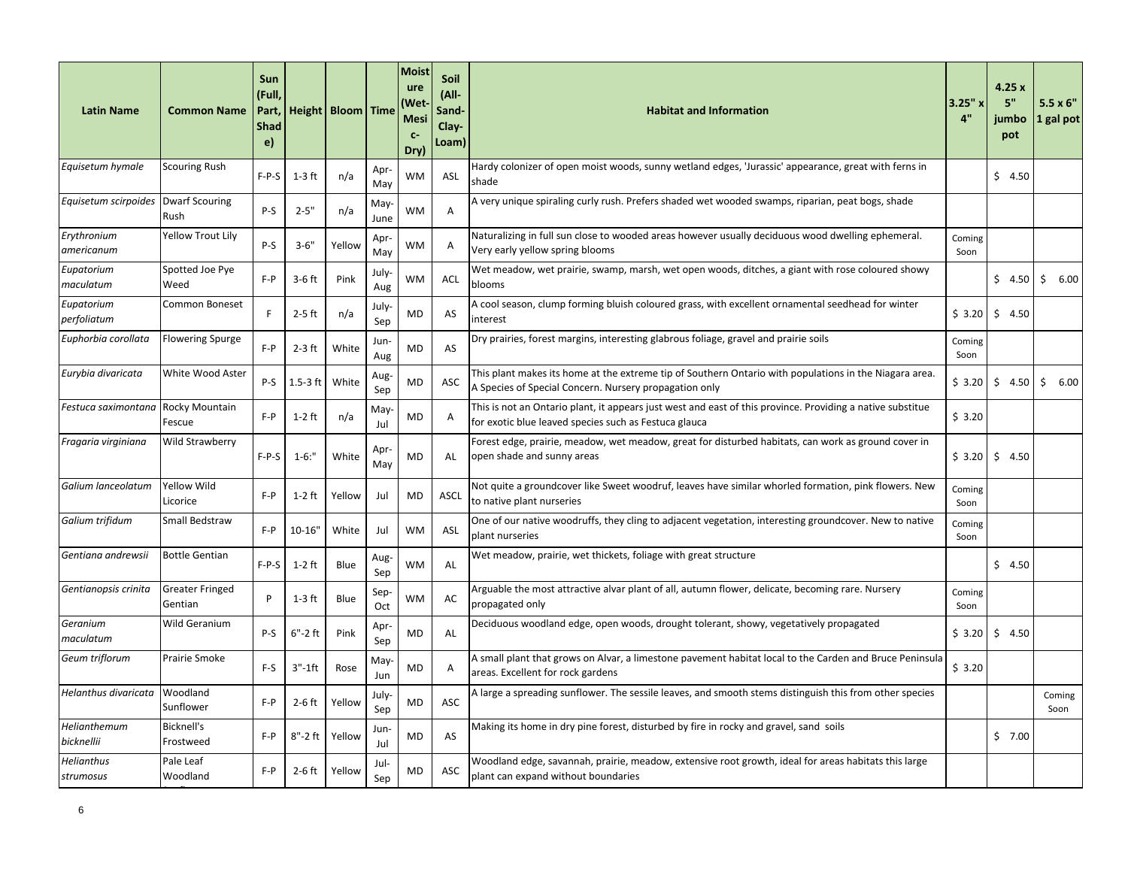| <b>Latin Name</b>              | <b>Common Name</b>                | Sun<br>(Full,<br>Part,<br><b>Shad</b><br>e) |             | Height   Bloom   Time |              | Moist<br>ure<br>Wet)<br><b>Mesi</b><br>$C-$<br>Dry) | Soil<br>(All-<br>Sand-<br>Clay-<br>Loam) | <b>Habitat and Information</b>                                                                                                                                      | 3.25"x<br>4"   | 4.25x<br>5"<br>jumbo<br>pot | $5.5 \times 6$ "<br>1 gal pot |
|--------------------------------|-----------------------------------|---------------------------------------------|-------------|-----------------------|--------------|-----------------------------------------------------|------------------------------------------|---------------------------------------------------------------------------------------------------------------------------------------------------------------------|----------------|-----------------------------|-------------------------------|
| Equisetum hymale               | <b>Scouring Rush</b>              | $F-P-S$                                     | $1-3$ ft    | n/a                   | Apr<br>May   | <b>WM</b>                                           | ASL                                      | Hardy colonizer of open moist woods, sunny wetland edges, 'Jurassic' appearance, great with ferns in<br>shade                                                       |                | \$4.50                      |                               |
| Equisetum scirpoides           | <b>Dwarf Scouring</b><br>Rush     | P-S                                         | $2 - 5"$    | n/a                   | May-<br>June | <b>WM</b>                                           | Α                                        | A very unique spiraling curly rush. Prefers shaded wet wooded swamps, riparian, peat bogs, shade                                                                    |                |                             |                               |
| Erythronium<br>americanum      | <b>Yellow Trout Lily</b>          | P-S                                         | $3 - 6"$    | Yellow                | Apr<br>May   | <b>WM</b>                                           | A                                        | Naturalizing in full sun close to wooded areas however usually deciduous wood dwelling ephemeral.<br>Very early yellow spring blooms                                | Coming<br>Soon |                             |                               |
| Eupatorium<br>maculatum        | Spotted Joe Pye<br>Weed           | $F - P$                                     | $3-6$ ft    | Pink                  | July-<br>Aug | <b>WM</b>                                           | ACL                                      | Wet meadow, wet prairie, swamp, marsh, wet open woods, ditches, a giant with rose coloured showy<br>blooms                                                          |                | \$4.50                      | \$6.00                        |
| Eupatorium<br>perfoliatum      | Common Boneset                    | F                                           | $2-5$ ft    | n/a                   | July-<br>Sep | MD                                                  | AS                                       | A cool season, clump forming bluish coloured grass, with excellent ornamental seedhead for winter<br>interest                                                       | \$3.20         | \$4.50                      |                               |
| Euphorbia corollata            | <b>Flowering Spurge</b>           | $F - P$                                     | $2-3$ ft    | White                 | Jun-<br>Aug  | <b>MD</b>                                           | AS                                       | Dry prairies, forest margins, interesting glabrous foliage, gravel and prairie soils                                                                                | Coming<br>Soon |                             |                               |
| Eurybia divaricata             | White Wood Aster                  | P-S                                         | $1.5-3$ ft  | White                 | Aug-<br>Sep  | MD                                                  | ASC                                      | This plant makes its home at the extreme tip of Southern Ontario with populations in the Niagara area.<br>A Species of Special Concern. Nursery propagation only    | \$3.20         | \$4.50                      | \$6.00                        |
| Festuca saximontana            | Rocky Mountain<br>Fescue          | $F - P$                                     | $1-2$ ft    | n/a                   | May<br>Jul   | <b>MD</b>                                           | A                                        | This is not an Ontario plant, it appears just west and east of this province. Providing a native substitue<br>for exotic blue leaved species such as Festuca glauca | \$3.20         |                             |                               |
| Fragaria virginiana            | <b>Wild Strawberry</b>            | $F-P-S$                                     | $1 - 6$ :"  | White                 | Apr<br>May   | <b>MD</b>                                           | AL                                       | Forest edge, prairie, meadow, wet meadow, great for disturbed habitats, can work as ground cover in<br>open shade and sunny areas                                   | \$3.20         | \$4.50                      |                               |
| Galium lanceolatum             | <b>Yellow Wild</b><br>Licorice    | $F - P$                                     | $1-2$ ft    | Yellow                | Jul          | <b>MD</b>                                           | <b>ASCL</b>                              | Not quite a groundcover like Sweet woodruf, leaves have similar whorled formation, pink flowers. New<br>to native plant nurseries                                   | Coming<br>Soon |                             |                               |
| Galium trifidum                | Small Bedstraw                    | $F - P$                                     | $10 - 16"$  | White                 | Jul          | <b>WM</b>                                           | ASL                                      | One of our native woodruffs, they cling to adjacent vegetation, interesting groundcover. New to native<br>plant nurseries                                           | Coming<br>Soon |                             |                               |
| Gentiana andrewsii             | <b>Bottle Gentian</b>             | $F-P-S$                                     | $1-2$ ft    | Blue                  | Aug-<br>Sep  | <b>WM</b>                                           | AL                                       | Wet meadow, prairie, wet thickets, foliage with great structure                                                                                                     |                | \$4.50                      |                               |
| Gentianopsis crinita           | <b>Greater Fringed</b><br>Gentian | P                                           | $1-3$ ft    | Blue                  | Sep-<br>Oct  | <b>WM</b>                                           | AC                                       | Arguable the most attractive alvar plant of all, autumn flower, delicate, becoming rare. Nursery<br>propagated only                                                 | Coming<br>Soon |                             |                               |
| Geranium<br>maculatum          | <b>Wild Geranium</b>              | P-S                                         | $6" - 2$ ft | Pink                  | Apr-<br>Sep  | <b>MD</b>                                           | AL                                       | Deciduous woodland edge, open woods, drought tolerant, showy, vegetatively propagated                                                                               | \$3.20         | \$4.50                      |                               |
| Geum triflorum                 | <b>Prairie Smoke</b>              | F-S                                         | $3"$ -1ft   | Rose                  | May-<br>Jun  | MD                                                  | Α                                        | A small plant that grows on Alvar, a limestone pavement habitat local to the Carden and Bruce Peninsula<br>areas. Excellent for rock gardens                        | \$3.20         |                             |                               |
| Helanthus divaricata           | Woodland<br>Sunflower             | $F - P$                                     | $2-6$ ft    | Yellow                | July-<br>Sep | <b>MD</b>                                           | ASC                                      | A large a spreading sunflower. The sessile leaves, and smooth stems distinguish this from other species                                                             |                |                             | Coming<br>Soon                |
| Helianthemum<br>bicknellii     | <b>Bicknell's</b><br>Frostweed    | $F - P$                                     | 8"-2 ft     | Yellow                | Jun-<br>Jul  | MD                                                  | AS                                       | Making its home in dry pine forest, disturbed by fire in rocky and gravel, sand soils                                                                               |                | \$7.00                      |                               |
| <b>Helianthus</b><br>strumosus | Pale Leaf<br>Woodland             | $F - P$                                     | $2-6$ ft    | Yellow                | Jul-<br>Sep  | <b>MD</b>                                           | ASC                                      | Woodland edge, savannah, prairie, meadow, extensive root growth, ideal for areas habitats this large<br>plant can expand without boundaries                         |                |                             |                               |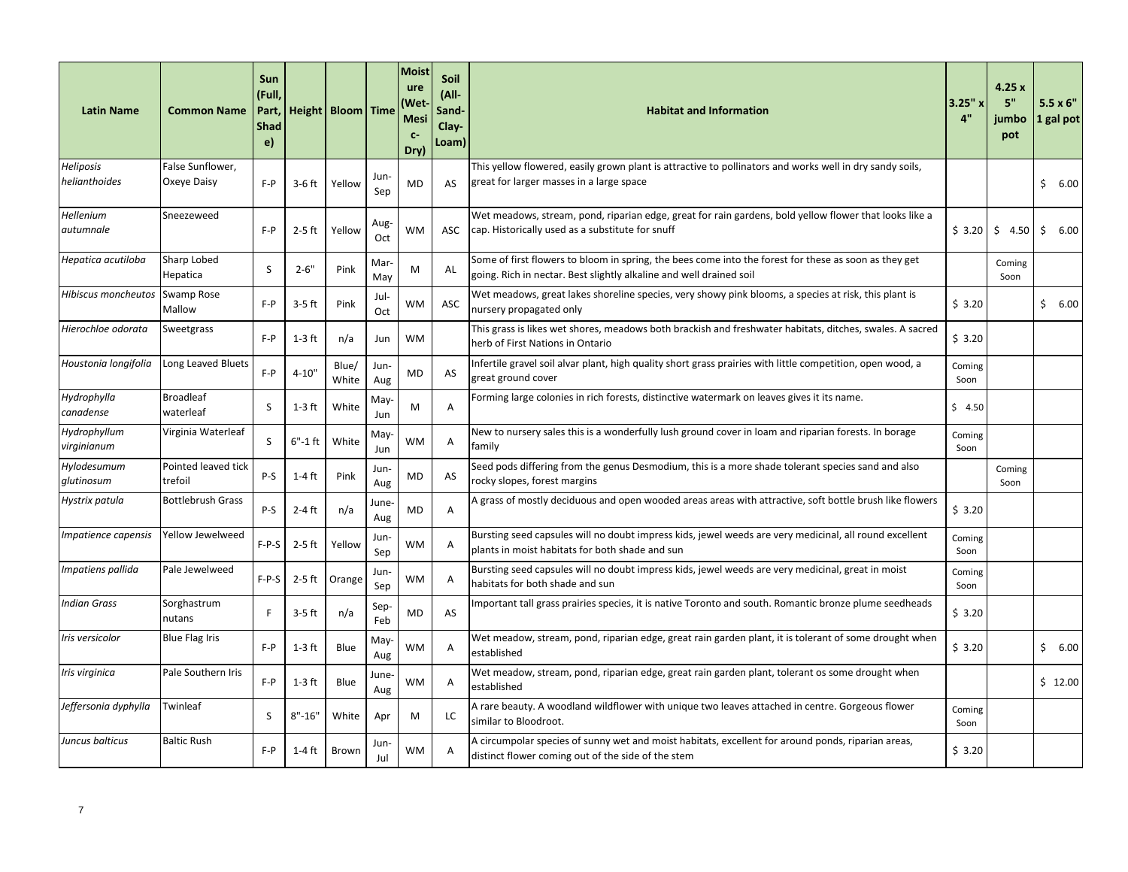| <b>Latin Name</b>           | <b>Common Name</b>             | Sun<br>(Full,<br>Part,<br><b>Shad</b><br>e) |             | Height   Bloom   Time |              | <b>Moist</b><br>ure<br>(Wet<br><b>Mesi</b><br>$C-$<br>Dry) | Soil<br>(All-<br>Sand-<br>Clay-<br>Loam) | <b>Habitat and Information</b>                                                                                                                            | 3.25"x<br>4"   | 4.25x<br>5"<br>jumbo<br>pot | $5.5 \times 6"$<br>1 gal pot |
|-----------------------------|--------------------------------|---------------------------------------------|-------------|-----------------------|--------------|------------------------------------------------------------|------------------------------------------|-----------------------------------------------------------------------------------------------------------------------------------------------------------|----------------|-----------------------------|------------------------------|
| <b>Heliposis</b>            | False Sunflower,               |                                             |             |                       | Jun-         |                                                            |                                          | This yellow flowered, easily grown plant is attractive to pollinators and works well in dry sandy soils,                                                  |                |                             |                              |
| helianthoides               | Oxeye Daisy                    | $F - P$                                     | $3-6$ ft    | Yellow                | Sep          | <b>MD</b>                                                  | AS                                       | great for larger masses in a large space                                                                                                                  |                |                             | Ŝ.<br>6.00                   |
| Hellenium                   | Sneezeweed                     |                                             |             |                       | Aug-         |                                                            |                                          | Wet meadows, stream, pond, riparian edge, great for rain gardens, bold yellow flower that looks like a                                                    |                |                             |                              |
| autumnale                   |                                | $F - P$                                     | 2-5 ft      | Yellow                | Oct          | WM                                                         | ASC                                      | cap. Historically used as a substitute for snuff                                                                                                          | \$3.20         | \$4.50                      | \$<br>6.00                   |
| Hepatica acutiloba          | Sharp Lobed                    | S                                           | $2 - 6"$    | Pink                  | Mar          | M                                                          | AL                                       | Some of first flowers to bloom in spring, the bees come into the forest for these as soon as they get                                                     |                | Coming                      |                              |
|                             | Hepatica                       |                                             |             |                       | May          |                                                            |                                          | going. Rich in nectar. Best slightly alkaline and well drained soil                                                                                       |                | Soon                        |                              |
| Hibiscus moncheutos         | Swamp Rose<br>Mallow           | $F - P$                                     | $3-5$ ft    | Pink                  | Jul-<br>Oct  | WM                                                         | ASC                                      | Wet meadows, great lakes shoreline species, very showy pink blooms, a species at risk, this plant is<br>nursery propagated only                           | \$3.20         |                             | \$6.00                       |
| Hierochloe odorata          | Sweetgrass                     | $F - P$                                     | $1-3$ ft    | n/a                   | Jun          | WM                                                         |                                          | This grass is likes wet shores, meadows both brackish and freshwater habitats, ditches, swales. A sacred<br>herb of First Nations in Ontario              | \$3.20         |                             |                              |
| Houstonia longifolia        | Long Leaved Bluets             | $F - P$                                     | $4 - 10"$   | Blue/<br>White        | Jun-<br>Aug  | MD                                                         | AS                                       | Infertile gravel soil alvar plant, high quality short grass prairies with little competition, open wood, a<br>great ground cover                          | Coming<br>Soon |                             |                              |
| Hydrophylla<br>canadense    | <b>Broadleaf</b><br>waterleaf  | S                                           | 1-3 ft      | White                 | May-<br>Jun  | M                                                          | Α                                        | Forming large colonies in rich forests, distinctive watermark on leaves gives it its name.                                                                | \$4.50         |                             |                              |
| Hydrophyllum<br>virginianum | Virginia Waterleaf             | S                                           | $6" - 1$ ft | White                 | May<br>Jun   | <b>WM</b>                                                  | A                                        | New to nursery sales this is a wonderfully lush ground cover in loam and riparian forests. In borage<br>family                                            | Coming<br>Soon |                             |                              |
| Hylodesumum<br>glutinosum   | Pointed leaved tick<br>trefoil | P-S                                         | 1-4 ft      | Pink                  | Jun-<br>Aug  | MD                                                         | AS                                       | Seed pods differing from the genus Desmodium, this is a more shade tolerant species sand and also<br>rocky slopes, forest margins                         |                | Coming<br>Soon              |                              |
| Hystrix patula              | <b>Bottlebrush Grass</b>       | P-S                                         | $2-4$ ft    | n/a                   | June-<br>Aug | MD                                                         | A                                        | A grass of mostly deciduous and open wooded areas areas with attractive, soft bottle brush like flowers                                                   | \$3.20         |                             |                              |
| Impatience capensis         | Yellow Jewelweed               | $F-P-S$                                     | 2-5 ft      | Yellow                | Jun-<br>Sep  | WM                                                         | A                                        | Bursting seed capsules will no doubt impress kids, jewel weeds are very medicinal, all round excellent<br>plants in moist habitats for both shade and sun | Coming<br>Soon |                             |                              |
| Impatiens pallida           | Pale Jewelweed                 | F-P-S                                       | $2-5$ ft    | Orange                | Jun-<br>Sep  | WM                                                         | $\overline{A}$                           | Bursting seed capsules will no doubt impress kids, jewel weeds are very medicinal, great in moist<br>habitats for both shade and sun                      | Coming<br>Soon |                             |                              |
| <b>Indian Grass</b>         | Sorghastrum<br>nutans          | F                                           | $3-5$ ft    | n/a                   | Sep<br>Feb   | MD                                                         | AS                                       | Important tall grass prairies species, it is native Toronto and south. Romantic bronze plume seedheads                                                    | \$3.20         |                             |                              |
| Iris versicolor             | <b>Blue Flag Iris</b>          | $F - P$                                     | $1-3$ ft    | Blue                  | May-<br>Aug  | WM                                                         | A                                        | Wet meadow, stream, pond, riparian edge, great rain garden plant, it is tolerant of some drought when<br>established                                      | \$3.20         |                             | \$6.00                       |
| Iris virginica              | Pale Southern Iris             | $F - P$                                     | $1-3$ ft    | Blue                  | June-<br>Aug | WM                                                         | A                                        | Wet meadow, stream, pond, riparian edge, great rain garden plant, tolerant os some drought when<br>established                                            |                |                             | \$12.00                      |
| Jeffersonia dyphylla        | Twinleaf                       | S                                           | $8" - 16"$  | White                 | Apr          | M                                                          | LC                                       | A rare beauty. A woodland wildflower with unique two leaves attached in centre. Gorgeous flower<br>similar to Bloodroot.                                  | Coming<br>Soon |                             |                              |
| Juncus balticus             | <b>Baltic Rush</b>             | $F - P$                                     | 1-4 ft      | Brown                 | Jun-<br>Jul  | <b>WM</b>                                                  | A                                        | A circumpolar species of sunny wet and moist habitats, excellent for around ponds, riparian areas,<br>distinct flower coming out of the side of the stem  | \$3.20         |                             |                              |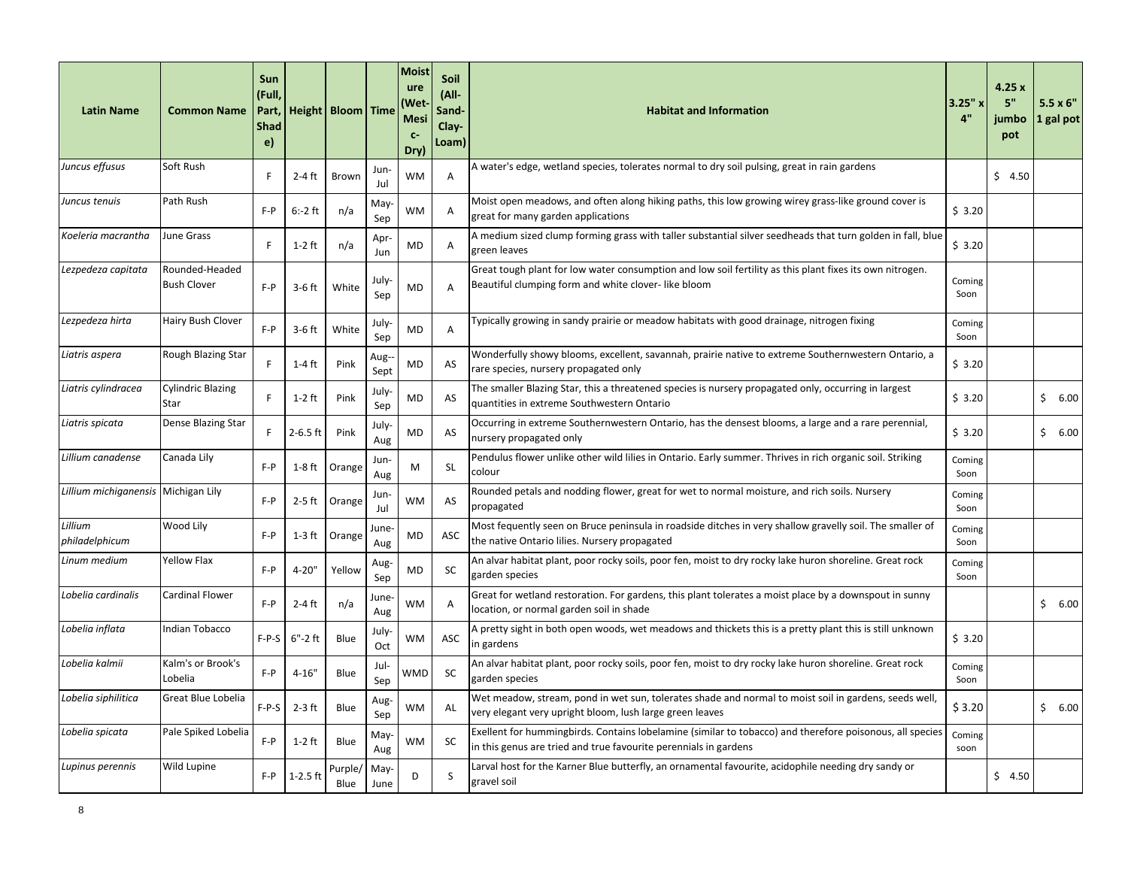| <b>Latin Name</b>                   | <b>Common Name</b>                   | Sun<br>(Full,<br>Part,<br><b>Shad</b><br>$\epsilon$ |              | Height   Bloom   Time |              | <b>Moist</b><br>ure<br>(Wet<br>Mesi<br>$C-$<br>Dry) | <b>Soil</b><br>(All-<br>Sand-<br>Clay-<br>Loam) | <b>Habitat and Information</b>                                                                                                                                               | 3.25" ›<br>4"  | 4.25x<br>5"<br>jumbo<br>pot | $5.5 \times 6"$<br>1 gal pot |
|-------------------------------------|--------------------------------------|-----------------------------------------------------|--------------|-----------------------|--------------|-----------------------------------------------------|-------------------------------------------------|------------------------------------------------------------------------------------------------------------------------------------------------------------------------------|----------------|-----------------------------|------------------------------|
| Juncus effusus                      | Soft Rush                            | E                                                   | $2-4$ ft     | Brown                 | Jun-<br>Jul  | WM                                                  | Α                                               | A water's edge, wetland species, tolerates normal to dry soil pulsing, great in rain gardens                                                                                 |                | \$4.50                      |                              |
| Juncus tenuis                       | Path Rush                            | $F - P$                                             | $6: -2$ ft   | n/a                   | May<br>Sep   | WM                                                  | A                                               | Moist open meadows, and often along hiking paths, this low growing wirey grass-like ground cover is<br>great for many garden applications                                    | \$3.20         |                             |                              |
| Koeleria macrantha                  | June Grass                           | F                                                   | $1-2$ ft     | n/a                   | Apr-<br>Jun  | MD                                                  | A                                               | A medium sized clump forming grass with taller substantial silver seedheads that turn golden in fall, blue<br>green leaves                                                   | \$3.20         |                             |                              |
| Lezpedeza capitata                  | Rounded-Headed<br><b>Bush Clover</b> | $F - P$                                             | $3-6$ ft     | White                 | July-<br>Sep | <b>MD</b>                                           | A                                               | Great tough plant for low water consumption and low soil fertility as this plant fixes its own nitrogen.<br>Beautiful clumping form and white clover-like bloom              | Coming<br>Soon |                             |                              |
| Lezpedeza hirta                     | Hairy Bush Clover                    | $F - P$                                             | $3-6$ ft     | White                 | July<br>Sep  | <b>MD</b>                                           | A                                               | Typically growing in sandy prairie or meadow habitats with good drainage, nitrogen fixing                                                                                    | Coming<br>Soon |                             |                              |
| Liatris aspera                      | Rough Blazing Star                   | E                                                   | 1-4 ft       | Pink                  | Aug-<br>Sept | MD                                                  | AS                                              | Wonderfully showy blooms, excellent, savannah, prairie native to extreme Southernwestern Ontario, a<br>rare species, nursery propagated only                                 | \$3.20         |                             |                              |
| Liatris cylindracea                 | <b>Cylindric Blazing</b><br>Star     | F                                                   | $1-2$ ft     | Pink                  | July-<br>Sep | MD                                                  | AS                                              | The smaller Blazing Star, this a threatened species is nursery propagated only, occurring in largest<br>quantities in extreme Southwestern Ontario                           | \$3.20         |                             | \$<br>6.00                   |
| Liatris spicata                     | Dense Blazing Star                   | E                                                   | $2 - 6.5$ ft | Pink                  | July<br>Aug  | MD                                                  | AS                                              | Occurring in extreme Southernwestern Ontario, has the densest blooms, a large and a rare perennial,<br>nursery propagated only                                               | \$3.20         |                             | \$6.00                       |
| Lillium canadense                   | Canada Lily                          | $F - P$                                             | $1-8$ ft     | Orange                | Jun-<br>Aug  | M                                                   | <b>SL</b>                                       | Pendulus flower unlike other wild lilies in Ontario. Early summer. Thrives in rich organic soil. Striking<br>colour                                                          | Coming<br>Soon |                             |                              |
| Lillium michiganensis Michigan Lily |                                      | $F - P$                                             | $2-5$ ft     | Orange                | Jun-<br>Jul  | WM                                                  | AS                                              | Rounded petals and nodding flower, great for wet to normal moisture, and rich soils. Nursery<br>propagated                                                                   | Coming<br>Soon |                             |                              |
| Lillium<br>philadelphicum           | Wood Lily                            | $F - P$                                             | 1-3 ft       | Orange                | June-<br>Aug | MD                                                  | ASC                                             | Most fequently seen on Bruce peninsula in roadside ditches in very shallow gravelly soil. The smaller of<br>the native Ontario lilies. Nursery propagated                    | Coming<br>Soon |                             |                              |
| Linum medium                        | <b>Yellow Flax</b>                   | $F - P$                                             | 4-20"        | Yellow                | Aug-<br>Sep  | MD                                                  | <b>SC</b>                                       | An alvar habitat plant, poor rocky soils, poor fen, moist to dry rocky lake huron shoreline. Great rock<br>garden species                                                    | Coming<br>Soon |                             |                              |
| Lobelia cardinalis                  | Cardinal Flower                      | $F - P$                                             | $2-4$ ft     | n/a                   | June-<br>Aug | WM                                                  | Α                                               | Great for wetland restoration. For gardens, this plant tolerates a moist place by a downspout in sunny<br>location, or normal garden soil in shade                           |                |                             | \$6.00                       |
| Lobelia inflata                     | Indian Tobacco                       | F-P-S                                               | $6"$ -2ft    | Blue                  | July-<br>Oct | WM                                                  | ASC                                             | A pretty sight in both open woods, wet meadows and thickets this is a pretty plant this is still unknown<br>in gardens                                                       | \$3.20         |                             |                              |
| Lobelia kalmii                      | Kalm's or Brook's<br>Lobelia         | $F - P$                                             | $4 - 16"$    | Blue                  | Jul-<br>Sep  | WMD                                                 | <b>SC</b>                                       | An alvar habitat plant, poor rocky soils, poor fen, moist to dry rocky lake huron shoreline. Great rock<br>garden species                                                    | Coming<br>Soon |                             |                              |
| Lobelia siphilitica                 | Great Blue Lobelia                   | F-P-S                                               | $2-3$ ft     | Blue                  | Aug-<br>Sep  | WM                                                  | AL                                              | Wet meadow, stream, pond in wet sun, tolerates shade and normal to moist soil in gardens, seeds well,<br>very elegant very upright bloom, lush large green leaves            | \$3.20         |                             | \$6.00                       |
| Lobelia spicata                     | Pale Spiked Lobelia                  | $F - P$                                             | $1-2$ ft     | Blue                  | May<br>Aug   | WM                                                  | <b>SC</b>                                       | Exellent for hummingbirds. Contains lobelamine (similar to tobacco) and therefore poisonous, all species<br>in this genus are tried and true favourite perennials in gardens | Coming<br>soon |                             |                              |
| Lupinus perennis                    | Wild Lupine                          | $F - P$                                             | $1-2.5$ ft   | Purple/<br>Blue       | May-<br>June | D                                                   | S                                               | Larval host for the Karner Blue butterfly, an ornamental favourite, acidophile needing dry sandy or<br>gravel soil                                                           |                | \$4.50                      |                              |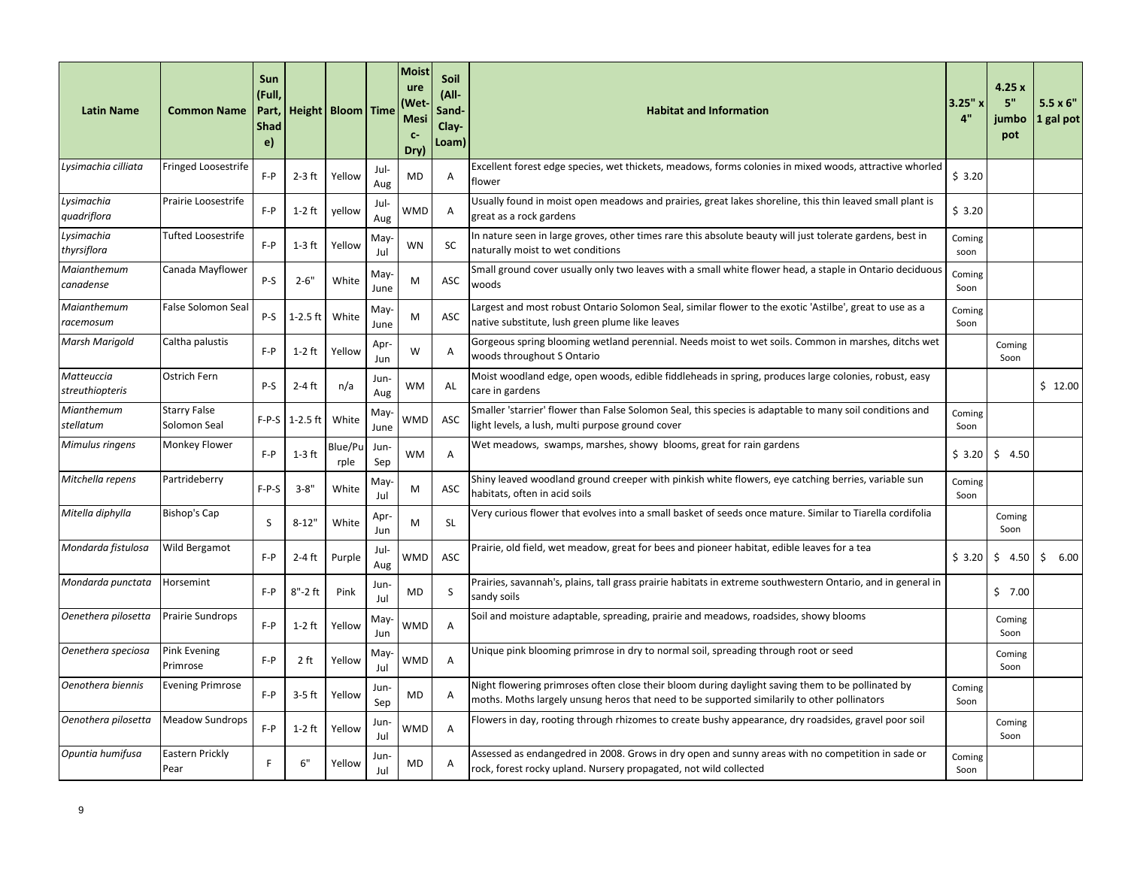| <b>Latin Name</b>                    | <b>Common Name</b>                  | Sun<br>(Full,<br>Part,<br><b>Shad</b><br>e) |              | Height   Bloom   Time |              | Moist<br>ure<br><b>Wet</b><br><b>Mesi</b><br>$C-$<br>Dry) | Soil<br>(All-<br>Sand-<br>Clay-<br>Loam) | <b>Habitat and Information</b>                                                                                                                                                                   | 3.25"x<br>4"   | 4.25x<br>5"<br>jumbo<br>pot | $5.5 \times 6$ "<br>1 gal pot |
|--------------------------------------|-------------------------------------|---------------------------------------------|--------------|-----------------------|--------------|-----------------------------------------------------------|------------------------------------------|--------------------------------------------------------------------------------------------------------------------------------------------------------------------------------------------------|----------------|-----------------------------|-------------------------------|
| Lysimachia cilliata                  | Fringed Loosestrife                 | $F - P$                                     | $2-3$ ft     | Yellow                | Jul-<br>Aug  | MD                                                        | Α                                        | Excellent forest edge species, wet thickets, meadows, forms colonies in mixed woods, attractive whorled<br>flower                                                                                | \$3.20         |                             |                               |
| Lysimachia<br>quadriflora            | Prairie Loosestrife                 | $F - P$                                     | $1-2$ ft     | yellow                | Jul-<br>Aug  | WMD                                                       | A                                        | Usually found in moist open meadows and prairies, great lakes shoreline, this thin leaved small plant is<br>great as a rock gardens                                                              | \$3.20         |                             |                               |
| Lysimachia<br>thyrsiflora            | <b>Tufted Loosestrife</b>           | $F - P$                                     | $1-3$ ft     | Yellow                | May<br>Jul   | <b>WN</b>                                                 | <b>SC</b>                                | In nature seen in large groves, other times rare this absolute beauty will just tolerate gardens, best in<br>naturally moist to wet conditions                                                   | Coming<br>soon |                             |                               |
| Maianthemum<br>canadense             | Canada Mayflower                    | P-S                                         | $2 - 6"$     | White                 | May-<br>June | М                                                         | ASC                                      | Small ground cover usually only two leaves with a small white flower head, a staple in Ontario deciduous<br>woods                                                                                | Coming<br>Soon |                             |                               |
| Maianthemum<br>racemosum             | <b>False Solomon Seal</b>           | P-S                                         | $1 - 2.5$ ft | White                 | May-<br>June | M                                                         | ASC                                      | Largest and most robust Ontario Solomon Seal, similar flower to the exotic 'Astilbe', great to use as a<br>native substitute, lush green plume like leaves                                       | Coming<br>Soon |                             |                               |
| Marsh Marigold                       | Caltha palustis                     | $F - P$                                     | $1-2$ ft     | Yellow                | Apr-<br>Jun  | W                                                         | A                                        | Gorgeous spring blooming wetland perennial. Needs moist to wet soils. Common in marshes, ditchs wet<br>woods throughout S Ontario                                                                |                | Coming<br>Soon              |                               |
| Matteuccia<br><i>streuthiopteris</i> | Ostrich Fern                        | P-S                                         | $2-4$ ft     | n/a                   | Jun-<br>Aug  | <b>WM</b>                                                 | AL                                       | Moist woodland edge, open woods, edible fiddleheads in spring, produces large colonies, robust, easy<br>care in gardens                                                                          |                |                             | \$12.00                       |
| Mianthemum<br>stellatum              | <b>Starry False</b><br>Solomon Seal | F-P-S                                       | $1 - 2.5$ ft | White                 | May-<br>June | WMD                                                       | ASC                                      | Smaller 'starrier' flower than False Solomon Seal, this species is adaptable to many soil conditions and<br>light levels, a lush, multi purpose ground cover                                     | Coming<br>Soon |                             |                               |
| Mimulus ringens                      | <b>Monkey Flower</b>                | $F - P$                                     | $1-3$ ft     | Blue/Pu<br>rple       | Jun-<br>Sep  | <b>WM</b>                                                 | A                                        | Wet meadows, swamps, marshes, showy blooms, great for rain gardens                                                                                                                               | \$3.20         | \$4.50                      |                               |
| Mitchella repens                     | Partrideberry                       | $F-P-S$                                     | $3 - 8"$     | White                 | May<br>Jul   | M                                                         | ASC                                      | Shiny leaved woodland ground creeper with pinkish white flowers, eye catching berries, variable sun<br>habitats, often in acid soils                                                             | Coming<br>Soon |                             |                               |
| Mitella diphylla                     | Bishop's Cap                        | <sub>S</sub>                                | $8 - 12"$    | White                 | Apr<br>Jun   | M                                                         | <b>SL</b>                                | Very curious flower that evolves into a small basket of seeds once mature. Similar to Tiarella cordifolia                                                                                        |                | Coming<br>Soon              |                               |
| Mondarda fistulosa                   | Wild Bergamot                       | $F - P$                                     | $2-4$ ft     | Purple                | Jul-<br>Aug  | WMD                                                       | ASC                                      | Prairie, old field, wet meadow, great for bees and pioneer habitat, edible leaves for a tea                                                                                                      | \$3.20         | \$4.50                      | \$6.00                        |
| Mondarda punctata                    | Horsemint                           | $F - P$                                     | $8"$ -2ft    | Pink                  | Jun-<br>Jul  | <b>MD</b>                                                 | S                                        | Prairies, savannah's, plains, tall grass prairie habitats in extreme southwestern Ontario, and in general in<br>sandy soils                                                                      |                | \$7.00                      |                               |
| Oenethera pilosetta                  | <b>Prairie Sundrops</b>             | $F - P$                                     | $1-2$ ft     | Yellow                | May<br>Jun   | WMD                                                       | Α                                        | Soil and moisture adaptable, spreading, prairie and meadows, roadsides, showy blooms                                                                                                             |                | Coming<br>Soon              |                               |
| Oenethera speciosa                   | <b>Pink Evening</b><br>Primrose     | $F - P$                                     | 2 ft         | Yellow                | May<br>Jul   | WMD                                                       | Α                                        | Unique pink blooming primrose in dry to normal soil, spreading through root or seed                                                                                                              |                | Coming<br>Soon              |                               |
| Oenothera biennis                    | <b>Evening Primrose</b>             | $F - P$                                     | $3-5$ ft     | Yellow                | Jun<br>Sep   | <b>MD</b>                                                 | A                                        | Night flowering primroses often close their bloom during daylight saving them to be pollinated by<br>moths. Moths largely unsung heros that need to be supported similarily to other pollinators | Coming<br>Soon |                             |                               |
| Oenothera pilosetta                  | <b>Meadow Sundrops</b>              | $F - P$                                     | $1-2$ ft     | Yellow                | Jun<br>Jul   | <b>WMD</b>                                                | A                                        | Flowers in day, rooting through rhizomes to create bushy appearance, dry roadsides, gravel poor soil                                                                                             |                | Coming<br>Soon              |                               |
| Opuntia humifusa                     | <b>Eastern Prickly</b><br>Pear      | F                                           | 6"           | Yellow                | Jun-<br>Jul  | MD                                                        | A                                        | Assessed as endangedred in 2008. Grows in dry open and sunny areas with no competition in sade or<br>rock, forest rocky upland. Nursery propagated, not wild collected                           | Coming<br>Soon |                             |                               |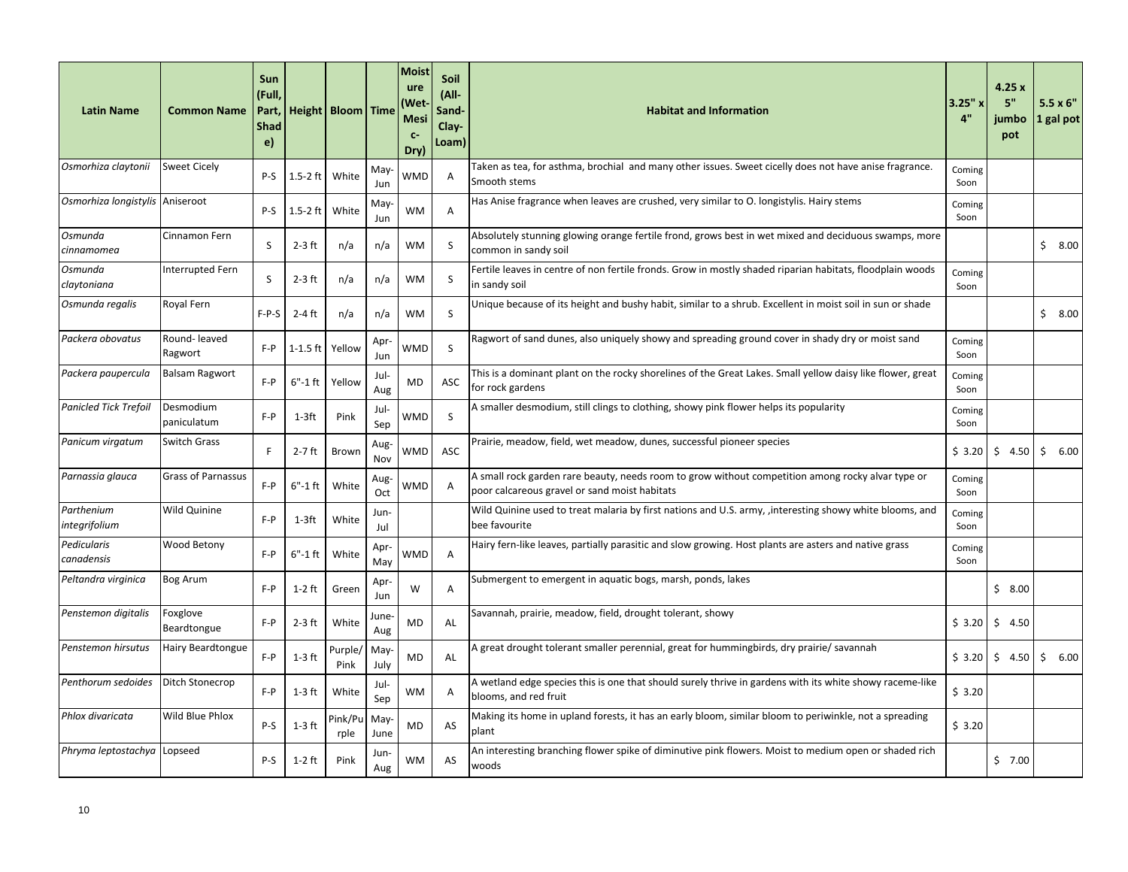| <b>Latin Name</b>               | <b>Common Name</b>        | Sun<br>(Full,<br>Part,<br><b>Shad</b><br>e) |             | Height   Bloom   Time |              | <b>Moist</b><br>ure<br>(Wet<br><b>Mesi</b><br>$C-$<br>Dry) | Soil<br>(All-<br>Sand-<br>$Clav-$<br>Loam) | <b>Habitat and Information</b>                                                                                                                     | $3.25"$ x<br>4" | 4.25x<br>5"<br>iumbo<br>pot | $5.5 \times 6"$<br>1 gal pot |
|---------------------------------|---------------------------|---------------------------------------------|-------------|-----------------------|--------------|------------------------------------------------------------|--------------------------------------------|----------------------------------------------------------------------------------------------------------------------------------------------------|-----------------|-----------------------------|------------------------------|
| Osmorhiza claytonii             | <b>Sweet Cicely</b>       | $P-S$                                       | $1.5-2$ ft  | White                 | May<br>Jun   | WMD                                                        | A                                          | Taken as tea, for asthma, brochial and many other issues. Sweet cicelly does not have anise fragrance.<br>Smooth stems                             | Coming<br>Soon  |                             |                              |
| Osmorhiza longistylis Aniseroot |                           | P-S                                         | $1.5-2$ ft  | White                 | May<br>Jun   | <b>WM</b>                                                  | Α                                          | Has Anise fragrance when leaves are crushed, very similar to O. longistylis. Hairy stems                                                           | Coming<br>Soon  |                             |                              |
| Osmunda<br>cinnamomea           | Cinnamon Fern             | S                                           | $2-3$ ft    | n/a                   | n/a          | WM                                                         | S                                          | Absolutely stunning glowing orange fertile frond, grows best in wet mixed and deciduous swamps, more<br>common in sandy soil                       |                 |                             | \$8.00                       |
| Osmunda<br>claytoniana          | Interrupted Fern          | S                                           | $2-3$ ft    | n/a                   | n/a          | <b>WM</b>                                                  | S                                          | Fertile leaves in centre of non fertile fronds. Grow in mostly shaded riparian habitats, floodplain woods<br>in sandy soil                         | Coming<br>Soon  |                             |                              |
| Osmunda regalis                 | Royal Fern                | $F-P-S$                                     | $2-4$ ft    | n/a                   | n/a          | WM                                                         | S                                          | Unique because of its height and bushy habit, similar to a shrub. Excellent in moist soil in sun or shade                                          |                 |                             | \$8.00                       |
| Packera obovatus                | Round-leaved<br>Ragwort   | $F - P$                                     | $1-1.5$ ft  | Yellow                | Apr<br>Jun   | WMD                                                        | S                                          | Ragwort of sand dunes, also uniquely showy and spreading ground cover in shady dry or moist sand                                                   | Coming<br>Soon  |                             |                              |
| Packera paupercula              | <b>Balsam Ragwort</b>     | $F - P$                                     | $6" - 1$ ft | Yellow                | Jul-<br>Aug  | MD                                                         | ASC                                        | This is a dominant plant on the rocky shorelines of the Great Lakes. Small yellow daisy like flower, great<br>for rock gardens                     | Coming<br>Soon  |                             |                              |
| Panicled Tick Trefoil           | Desmodium<br>paniculatum  | $F - P$                                     | 1-3ft       | Pink                  | Jul-<br>Sep  | WMD                                                        | <sub>S</sub>                               | A smaller desmodium, still clings to clothing, showy pink flower helps its popularity                                                              | Coming<br>Soon  |                             |                              |
| Panicum virgatum                | <b>Switch Grass</b>       | F                                           | $2-7$ ft    | Brown                 | Aug-<br>Nov  | WMD                                                        | ASC                                        | Prairie, meadow, field, wet meadow, dunes, successful pioneer species                                                                              | \$3.20          | \$4.50                      | \$6.00                       |
| Parnassia glauca                | <b>Grass of Parnassus</b> | $F - P$                                     | $6" - 1$ ft | White                 | Aug-<br>Oct  | WMD                                                        | A                                          | A small rock garden rare beauty, needs room to grow without competition among rocky alvar type or<br>poor calcareous gravel or sand moist habitats | Coming<br>Soon  |                             |                              |
| Parthenium<br>integrifolium     | Wild Quinine              | $F - P$                                     | 1-3ft       | White                 | Jun-<br>Jul  |                                                            |                                            | Wild Quinine used to treat malaria by first nations and U.S. army, , interesting showy white blooms, and<br>bee favourite                          | Coming<br>Soon  |                             |                              |
| Pedicularis<br>canadensis       | Wood Betony               | $F - P$                                     | $6"$ -1ft   | White                 | Apr<br>May   | WMD                                                        | A                                          | Hairy fern-like leaves, partially parasitic and slow growing. Host plants are asters and native grass                                              | Coming<br>Soon  |                             |                              |
| Peltandra virginica             | <b>Bog Arum</b>           | $F - P$                                     | $1-2$ ft    | Green                 | Apr-<br>Jun  | W                                                          | Α                                          | Submergent to emergent in aquatic bogs, marsh, ponds, lakes                                                                                        |                 | \$8.00                      |                              |
| Penstemon digitalis             | Foxglove<br>Beardtongue   | F-P                                         | $2-3$ ft    | White                 | June-<br>Aug | MD                                                         | AL                                         | Savannah, prairie, meadow, field, drought tolerant, showy                                                                                          | \$3.20          | \$<br>4.50                  |                              |
| Penstemon hirsutus              | <b>Hairy Beardtongue</b>  | $F - P$                                     | $1-3$ ft    | Purple/<br>Pink       | May-<br>July | <b>MD</b>                                                  | AL                                         | A great drought tolerant smaller perennial, great for hummingbirds, dry prairie/ savannah                                                          | \$3.20          | Ŝ.<br>4.50                  | \$<br>6.00                   |
| Penthorum sedoides              | Ditch Stonecrop           | $F - P$                                     | $1-3$ ft    | White                 | Jul-<br>Sep  | WM                                                         | A                                          | A wetland edge species this is one that should surely thrive in gardens with its white showy raceme-like<br>blooms, and red fruit                  | \$3.20          |                             |                              |
| Phlox divaricata                | Wild Blue Phlox           | P-S                                         | $1-3$ ft    | Pink/Pu<br>rple       | May-<br>June | MD                                                         | AS                                         | Making its home in upland forests, it has an early bloom, similar bloom to periwinkle, not a spreading<br>plant                                    | \$3.20          |                             |                              |
| Phryma leptostachya             | Lopseed                   | P-S                                         | $1-2$ ft    | Pink                  | Jun-<br>Aug  | WM                                                         | AS                                         | An interesting branching flower spike of diminutive pink flowers. Moist to medium open or shaded rich<br>woods                                     |                 | \$7.00                      |                              |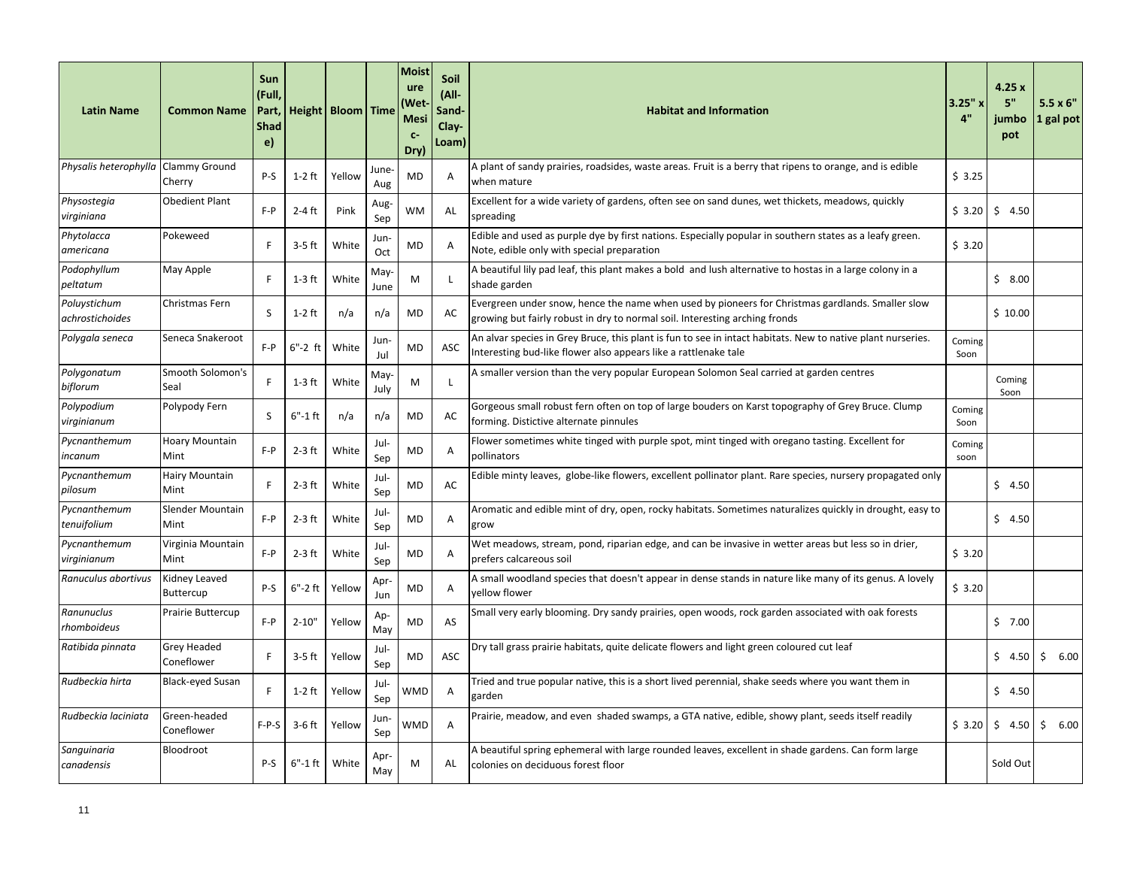| <b>Latin Name</b>                   | <b>Common Name</b>               | Sun<br>(Full.<br>Part,<br><b>Shad</b><br>e) |            | Height   Bloom   Time |              | Moist<br>ure<br>Wet)<br><b>Mesi</b><br>$C-$<br>Dry) | Soil<br>(All-<br>Sand-<br>Clay-<br>Loam) | <b>Habitat and Information</b>                                                                                                                                                  | 3.25" x<br>4"  | 4.25x<br>5"<br>jumbo<br>pot | $5.5 \times 6"$<br>1 gal pot |
|-------------------------------------|----------------------------------|---------------------------------------------|------------|-----------------------|--------------|-----------------------------------------------------|------------------------------------------|---------------------------------------------------------------------------------------------------------------------------------------------------------------------------------|----------------|-----------------------------|------------------------------|
| Physalis heterophylla Clammy Ground | Cherry                           | P-S                                         | $1-2$ ft   | Yellow                | June<br>Aug  | <b>MD</b>                                           | Α                                        | A plant of sandy prairies, roadsides, waste areas. Fruit is a berry that ripens to orange, and is edible<br>when mature                                                         | \$3.25         |                             |                              |
| Physostegia<br>virginiana           | <b>Obedient Plant</b>            | $F - P$                                     | $2-4$ ft   | Pink                  | Aug-<br>Sep  | <b>WM</b>                                           | AL                                       | Excellent for a wide variety of gardens, often see on sand dunes, wet thickets, meadows, quickly<br>spreading                                                                   | \$3.20         | \$4.50                      |                              |
| Phytolacca<br>americana             | Pokeweed                         | F                                           | $3-5$ ft   | White                 | Jun-<br>Oct  | MD                                                  | A                                        | Edible and used as purple dye by first nations. Especially popular in southern states as a leafy green.<br>Note, edible only with special preparation                           | \$3.20         |                             |                              |
| Podophyllum<br>peltatum             | May Apple                        | F                                           | $1-3$ ft   | White                 | May-<br>June | М                                                   | L                                        | A beautiful lily pad leaf, this plant makes a bold and lush alternative to hostas in a large colony in a<br>shade garden                                                        |                | \$8.00                      |                              |
| Poluystichum<br>achrostichoides     | Christmas Fern                   | <sub>S</sub>                                | $1-2$ ft   | n/a                   | n/a          | <b>MD</b>                                           | AC                                       | Evergreen under snow, hence the name when used by pioneers for Christmas gardlands. Smaller slow<br>growing but fairly robust in dry to normal soil. Interesting arching fronds |                | \$10.00                     |                              |
| Polygala seneca                     | Seneca Snakeroot                 | $F - P$                                     | $6"$ -2ft  | White                 | Jun<br>Jul   | MD                                                  | ASC                                      | An alvar species in Grey Bruce, this plant is fun to see in intact habitats. New to native plant nurseries.<br>Interesting bud-like flower also appears like a rattlenake tale  | Coming<br>Soon |                             |                              |
| Polygonatum<br>biflorum             | Smooth Solomon's<br>Seal         | F                                           | $1-3$ ft   | White                 | May-<br>July | M                                                   | <sup>L</sup>                             | A smaller version than the very popular European Solomon Seal carried at garden centres                                                                                         |                | Coming<br>Soon              |                              |
| Polypodium<br>virginianum           | Polypody Fern                    | S                                           | 6"-1 ft    | n/a                   | n/a          | <b>MD</b>                                           | AC                                       | Gorgeous small robust fern often on top of large bouders on Karst topography of Grey Bruce. Clump<br>forming. Distictive alternate pinnules                                     | Coming<br>Soon |                             |                              |
| Pycnanthemum<br>incanum             | <b>Hoary Mountain</b><br>Mint    | $F - P$                                     | $2-3$ ft   | White                 | Jul-<br>Sep  | MD                                                  | Α                                        | Flower sometimes white tinged with purple spot, mint tinged with oregano tasting. Excellent for<br>pollinators                                                                  | Coming<br>soon |                             |                              |
| Pycnanthemum<br>pilosum             | <b>Hairy Mountain</b><br>Mint    | F                                           | $2-3$ ft   | White                 | Jul-<br>Sep  | MD                                                  | AC                                       | Edible minty leaves, globe-like flowers, excellent pollinator plant. Rare species, nursery propagated only                                                                      |                | \$4.50                      |                              |
| Pycnanthemum<br>tenuifolium         | Slender Mountain<br>Mint         | $F - P$                                     | $2-3$ ft   | White                 | Jul-<br>Sep  | <b>MD</b>                                           | Α                                        | Aromatic and edible mint of dry, open, rocky habitats. Sometimes naturalizes quickly in drought, easy to<br>grow                                                                |                | \$4.50                      |                              |
| Pycnanthemum<br>virginianum         | Virginia Mountain<br>Mint        | $F - P$                                     | $2-3$ ft   | White                 | Jul-<br>Sep  | MD                                                  | A                                        | Wet meadows, stream, pond, riparian edge, and can be invasive in wetter areas but less so in drier,<br>prefers calcareous soil                                                  | \$3.20         |                             |                              |
| Ranuculus abortivus                 | Kidney Leaved<br>Buttercup       | $P-S$                                       | $6"$ -2ft  | Yellow                | Apr<br>Jun   | MD                                                  | A                                        | A small woodland species that doesn't appear in dense stands in nature like many of its genus. A lovely<br>vellow flower                                                        | \$3.20         |                             |                              |
| Ranunuclus<br>rhomboideus           | <b>Prairie Buttercup</b>         | F-P                                         | $2 - 10"$  | Yellow                | Ap-<br>May   | MD                                                  | AS                                       | Small very early blooming. Dry sandy prairies, open woods, rock garden associated with oak forests                                                                              |                | 5, 7.00                     |                              |
| Ratibida pinnata                    | <b>Grey Headed</b><br>Coneflower | F                                           | $3-5$ ft   | Yellow                | Jul-<br>Sep  | MD                                                  | ASC                                      | Dry tall grass prairie habitats, quite delicate flowers and light green coloured cut leaf                                                                                       |                | \$4.50                      | \$6.00                       |
| Rudbeckia hirta                     | Black-eyed Susan                 | F                                           | $1-2$ ft   | Yellow                | Jul-<br>Sep  | WMD                                                 | A                                        | Tried and true popular native, this is a short lived perennial, shake seeds where you want them in<br>garden                                                                    |                | \$4.50                      |                              |
| Rudbeckia laciniata                 | Green-headed<br>Coneflower       | $F-P-S$                                     | $3-6$ ft   | Yellow                | Jun-<br>Sep  | WMD                                                 | A                                        | Prairie, meadow, and even shaded swamps, a GTA native, edible, showy plant, seeds itself readily                                                                                | \$3.20         | \$4.50                      | \$6.00                       |
| Sanguinaria<br>canadensis           | Bloodroot                        | $P-S$                                       | $6"$ -1 ft | White                 | Apr<br>May   | M                                                   | AL                                       | A beautiful spring ephemeral with large rounded leaves, excellent in shade gardens. Can form large<br>colonies on deciduous forest floor                                        |                | Sold Out                    |                              |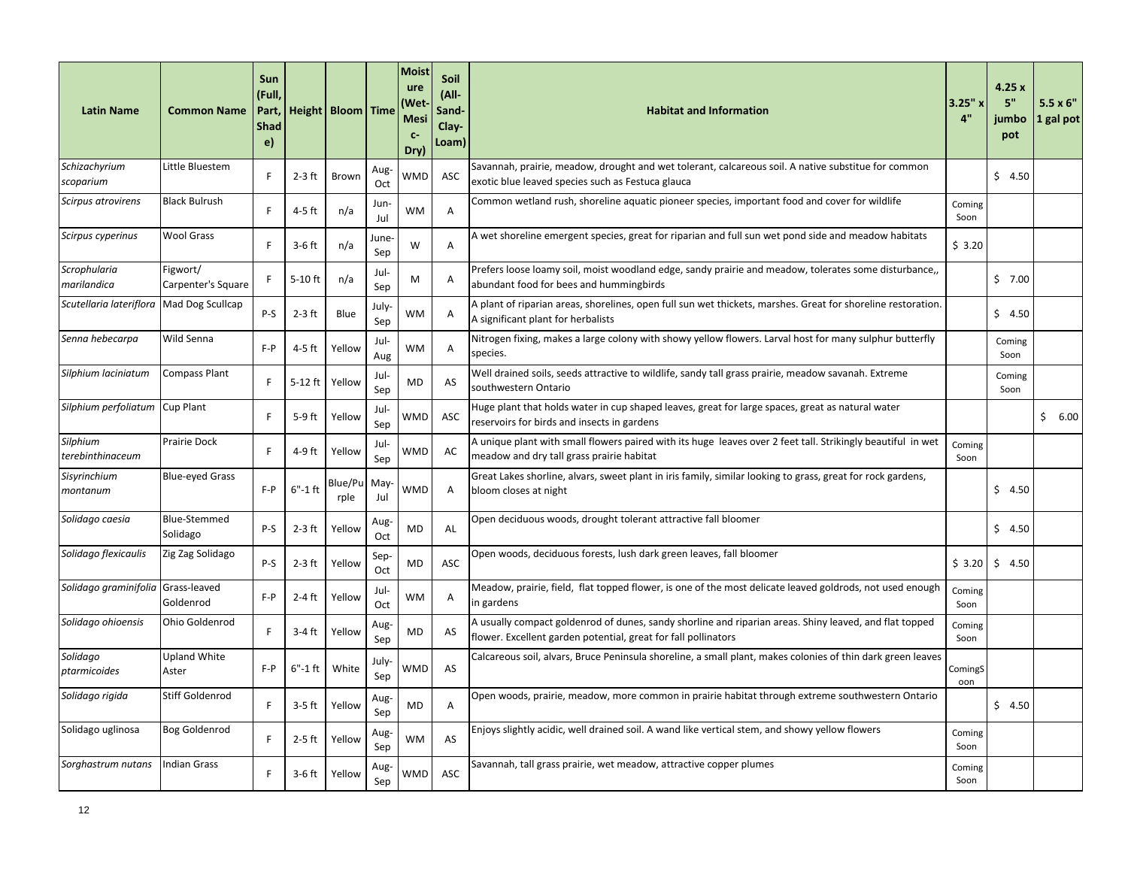| <b>Latin Name</b>                        | <b>Common Name</b>              | <b>Sun</b><br>(Full<br>Part,<br><b>Shad</b><br>e) |             | Height   Bloom   Time |              | Moist<br>ure<br>Wet<br><b>Mesi</b><br>$C-$<br>Dry) | <b>Soil</b><br>(All-<br>Sand-<br>Clay-<br>Loam) | <b>Habitat and Information</b>                                                                                                                                           | 3.25"x<br>4"   | 4.25x<br>5"<br>jumbo<br>pot | $5.5 \times 6"$<br>1 gal pot |
|------------------------------------------|---------------------------------|---------------------------------------------------|-------------|-----------------------|--------------|----------------------------------------------------|-------------------------------------------------|--------------------------------------------------------------------------------------------------------------------------------------------------------------------------|----------------|-----------------------------|------------------------------|
| Schizachyrium<br>scoparium               | Little Bluestem                 | F                                                 | $2-3$ ft    | Brown                 | Aug-<br>Oct  | WMD                                                | ASC                                             | Savannah, prairie, meadow, drought and wet tolerant, calcareous soil. A native substitue for common<br>exotic blue leaved species such as Festuca glauca                 |                | \$4.50                      |                              |
| Scirpus atrovirens                       | <b>Black Bulrush</b>            | F                                                 | 4-5 ft      | n/a                   | Jun-<br>Jul  | <b>WM</b>                                          | A                                               | Common wetland rush, shoreline aquatic pioneer species, important food and cover for wildlife                                                                            | Coming<br>Soon |                             |                              |
| Scirpus cyperinus                        | <b>Wool Grass</b>               | F                                                 | $3-6$ ft    | n/a                   | June-<br>Sep | W                                                  | A                                               | A wet shoreline emergent species, great for riparian and full sun wet pond side and meadow habitats                                                                      | \$3.20         |                             |                              |
| Scrophularia<br>marilandica              | Figwort/<br>Carpenter's Square  | F                                                 | $5-10$ ft   | n/a                   | Jul-<br>Sep  | М                                                  | A                                               | Prefers loose loamy soil, moist woodland edge, sandy prairie and meadow, tolerates some disturbance,<br>abundant food for bees and hummingbirds                          |                | 57.00                       |                              |
| Scutellaria lateriflora Mad Dog Scullcap |                                 | P-S                                               | $2-3$ ft    | Blue                  | July-<br>Sep | <b>WM</b>                                          | A                                               | A plant of riparian areas, shorelines, open full sun wet thickets, marshes. Great for shoreline restoration.<br>A significant plant for herbalists                       |                | 54.50                       |                              |
| Senna hebecarpa                          | Wild Senna                      | $F - P$                                           | $4-5$ ft    | Yellow                | Jul-<br>Aug  | <b>WM</b>                                          | A                                               | Nitrogen fixing, makes a large colony with showy yellow flowers. Larval host for many sulphur butterfly<br>species.                                                      |                | Coming<br>Soon              |                              |
| Silphium laciniatum                      | <b>Compass Plant</b>            | F                                                 | 5-12 ft     | Yellow                | Jul-<br>Sep  | MD                                                 | AS                                              | Well drained soils, seeds attractive to wildlife, sandy tall grass prairie, meadow savanah. Extreme<br>southwestern Ontario                                              |                | Coming<br>Soon              |                              |
| Silphium perfoliatum Cup Plant           |                                 | F                                                 | 5-9 ft      | Yellow                | Jul-<br>Sep  | WMD                                                | ASC                                             | Huge plant that holds water in cup shaped leaves, great for large spaces, great as natural water<br>reservoirs for birds and insects in gardens                          |                |                             | \$6.00                       |
| Silphium<br>terebinthinaceum             | <b>Prairie Dock</b>             | E                                                 | 4-9 ft      | Yellow                | Jul-<br>Sep  | WMD                                                | AC                                              | A unique plant with small flowers paired with its huge leaves over 2 feet tall. Strikingly beautiful in wet<br>meadow and dry tall grass prairie habitat                 | Coming<br>Soon |                             |                              |
| Sisyrinchium<br>montanum                 | <b>Blue-eyed Grass</b>          | $F - P$                                           | $6" - 1$ ft | Blue/Pu<br>rple       | May<br>Jul   | WMD                                                | A                                               | Great Lakes shorline, alvars, sweet plant in iris family, similar looking to grass, great for rock gardens,<br>bloom closes at night                                     |                | 54.50                       |                              |
| Solidago caesia                          | <b>Blue-Stemmed</b><br>Solidago | P-S                                               | $2-3$ ft    | Yellow                | Aug-<br>Oct  | MD                                                 | AL                                              | Open deciduous woods, drought tolerant attractive fall bloomer                                                                                                           |                | \$4.50                      |                              |
| Solidago flexicaulis                     | Zig Zag Solidago                | $P-S$                                             | $2-3$ ft    | Yellow                | Sep-<br>Oct  | <b>MD</b>                                          | ASC                                             | Open woods, deciduous forests, lush dark green leaves, fall bloomer                                                                                                      | \$3.20         | \$4.50                      |                              |
| Solidago graminifolia Grass-leaved       | Goldenrod                       | $F - P$                                           | $2-4$ ft    | Yellow                | Jul-<br>Oct  | <b>WM</b>                                          | Α                                               | Meadow, prairie, field, flat topped flower, is one of the most delicate leaved goldrods, not used enough<br>in gardens                                                   | Coming<br>Soon |                             |                              |
| Solidago ohioensis                       | <b>Ohio Goldenrod</b>           | F                                                 | 3-4 ft      | Yellow                | Aug-<br>Sep  | MD                                                 | AS                                              | A usually compact goldenrod of dunes, sandy shorline and riparian areas. Shiny leaved, and flat topped<br>flower. Excellent garden potential, great for fall pollinators | Coming<br>Soon |                             |                              |
| Solidago<br>ptarmicoides                 | <b>Upland White</b><br>Aster    | $F - P$                                           | $6"$ -1ft   | White                 | July-<br>Sep | WMD                                                | AS                                              | Calcareous soil, alvars, Bruce Peninsula shoreline, a small plant, makes colonies of thin dark green leaves                                                              | ComingS<br>oon |                             |                              |
| Solidago rigida                          | <b>Stiff Goldenrod</b>          | E                                                 | $3-5$ ft    | Yellow                | Aug-<br>Sep  | MD                                                 | Α                                               | Open woods, prairie, meadow, more common in prairie habitat through extreme southwestern Ontario                                                                         |                | \$4.50                      |                              |
| Solidago uglinosa                        | <b>Bog Goldenrod</b>            | F                                                 | $2-5$ ft    | Yellow                | Aug-<br>Sep  | <b>WM</b>                                          | AS                                              | Enjoys slightly acidic, well drained soil. A wand like vertical stem, and showy yellow flowers                                                                           | Coming<br>Soon |                             |                              |
| Sorghastrum nutans                       | Indian Grass                    | F                                                 | 3-6 ft      | Yellow                | Aug-<br>Sep  | WMD                                                | ASC                                             | Savannah, tall grass prairie, wet meadow, attractive copper plumes                                                                                                       | Coming<br>Soon |                             |                              |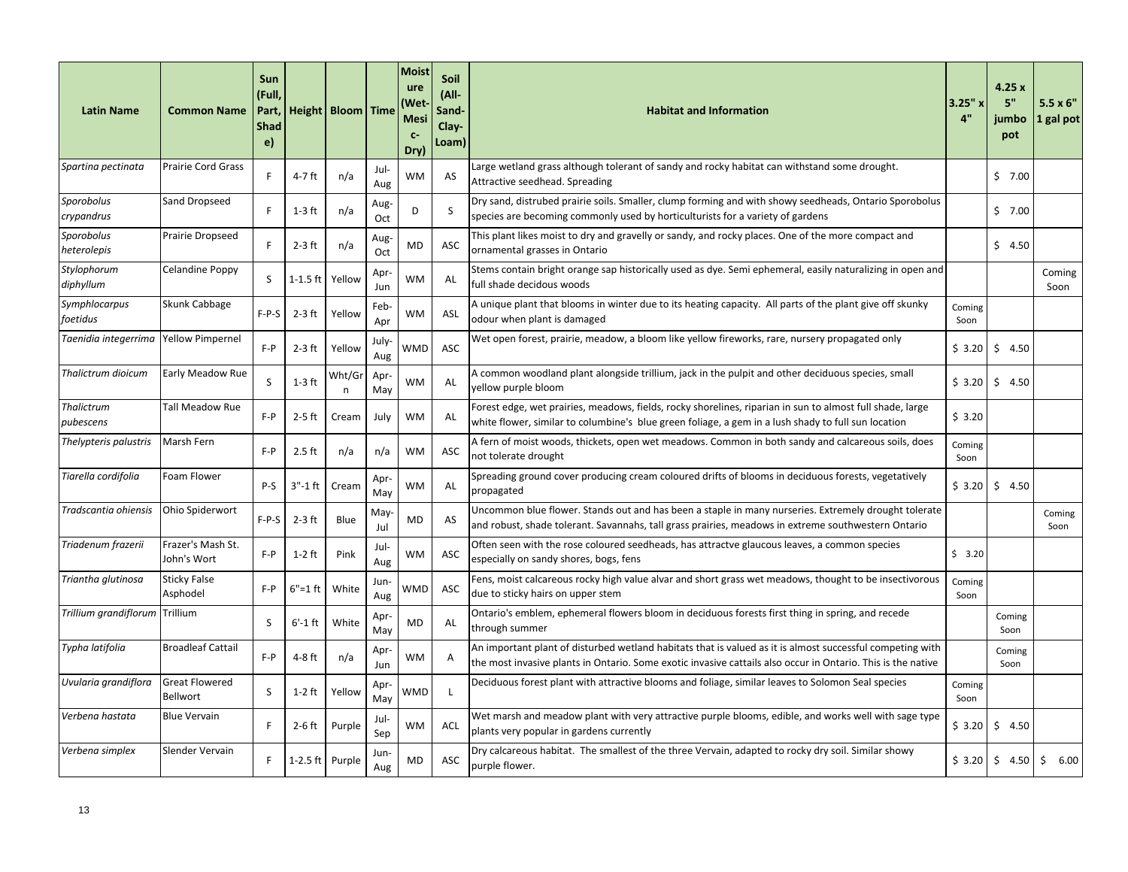| <b>Latin Name</b>                     | <b>Common Name</b>                | Sun<br>(Full,<br>Part,<br><b>Shad</b><br>e) |                 | Height   Bloom   Time |                    | <b>Moist</b><br>ure<br>Wet)<br><b>Mesi</b><br>$C-$<br>Dry) | Soil<br>$(AII -$<br>Sand-<br>Clay-<br>Loam) | <b>Habitat and Information</b>                                                                                                                                                                                            | $3.25"$ x<br>4" | 4.25x<br>5"<br>jumbo<br>pot | $5.5 \times 6"$<br>1 gal pot |
|---------------------------------------|-----------------------------------|---------------------------------------------|-----------------|-----------------------|--------------------|------------------------------------------------------------|---------------------------------------------|---------------------------------------------------------------------------------------------------------------------------------------------------------------------------------------------------------------------------|-----------------|-----------------------------|------------------------------|
| Spartina pectinata                    | <b>Prairie Cord Grass</b>         | F                                           | 4-7 ft          | n/a                   | Jul-<br>Aug        | <b>WM</b>                                                  | AS                                          | Large wetland grass although tolerant of sandy and rocky habitat can withstand some drought.<br>Attractive seedhead. Spreading                                                                                            |                 | 57.00                       |                              |
| Sporobolus<br>crypandrus              | Sand Dropseed                     | F                                           | $1-3$ ft        | n/a                   | Aug-<br>Oct        | D                                                          | S                                           | Dry sand, distrubed prairie soils. Smaller, clump forming and with showy seedheads, Ontario Sporobolus<br>species are becoming commonly used by horticulturists for a variety of gardens                                  |                 | \$7.00                      |                              |
| Sporobolus<br>heterolepis             | Prairie Dropseed                  | F                                           | $2-3$ ft        | n/a                   | Aug-<br>Oct        | MD                                                         | ASC                                         | This plant likes moist to dry and gravelly or sandy, and rocky places. One of the more compact and<br>ornamental grasses in Ontario                                                                                       |                 | \$4.50                      |                              |
| Stylophorum<br>diphyllum              | Celandine Poppy                   | S                                           | $1-1.5$ ft      | Yellow                | Apr-<br>Jun        | WM                                                         | AL                                          | Stems contain bright orange sap historically used as dye. Semi ephemeral, easily naturalizing in open and<br>full shade decidous woods                                                                                    |                 |                             | Coming<br>Soon               |
| Symphlocarpus<br>foetidus             | Skunk Cabbage                     | $F-P-S$                                     | $2-3$ ft        | Yellow                | Feb-<br>Apr        | WМ                                                         | ASL                                         | A unique plant that blooms in winter due to its heating capacity. All parts of the plant give off skunky<br>odour when plant is damaged                                                                                   | Coming<br>Soon  |                             |                              |
| Taenidia integerrima Yellow Pimpernel |                                   | $F - P$                                     | $2-3$ ft        | Yellow                | <b>July</b><br>Aug | WMD                                                        | ASC                                         | Wet open forest, prairie, meadow, a bloom like yellow fireworks, rare, nursery propagated only                                                                                                                            | \$3.20          | \$4.50                      |                              |
| Thalictrum dioicum                    | Early Meadow Rue                  | S                                           | $1-3$ ft        | Wht/Gı<br>n           | Apr-<br>May        | WM                                                         | AL                                          | A common woodland plant alongside trillium, jack in the pulpit and other deciduous species, small<br>yellow purple bloom                                                                                                  | \$3.20          | \$4.50                      |                              |
| Thalictrum<br>pubescens               | Tall Meadow Rue                   | $F - P$                                     | $2-5$ ft        | Cream                 | July               | <b>WM</b>                                                  | AL                                          | Forest edge, wet prairies, meadows, fields, rocky shorelines, riparian in sun to almost full shade, large<br>white flower, similar to columbine's blue green foliage, a gem in a lush shady to full sun location          | \$3.20          |                             |                              |
| Thelypteris palustris                 | Marsh Fern                        | $F - P$                                     | $2.5$ ft        | n/a                   | n/a                | <b>WM</b>                                                  | ASC                                         | A fern of moist woods, thickets, open wet meadows. Common in both sandy and calcareous soils, does<br>not tolerate drought                                                                                                | Coming<br>Soon  |                             |                              |
| Tiarella cordifolia                   | Foam Flower                       | $P-S$                                       | $3" - 1$ ft     | Cream                 | Apr-<br>May        | WM                                                         | AL                                          | Spreading ground cover producing cream coloured drifts of blooms in deciduous forests, vegetatively<br>propagated                                                                                                         | \$3.20          | \$4.50                      |                              |
| Tradscantia ohiensis                  | Ohio Spiderwort                   | $F-P-S$                                     | $2-3$ ft        | Blue                  | May-<br>Jul        | <b>MD</b>                                                  | AS                                          | Uncommon blue flower. Stands out and has been a staple in many nurseries. Extremely drought tolerate<br>and robust, shade tolerant. Savannahs, tall grass prairies, meadows in extreme southwestern Ontario               |                 |                             | Coming<br>Soon               |
| Triadenum frazerii                    | Frazer's Mash St.<br>John's Wort  | $F - P$                                     | $1-2$ ft        | Pink                  | Jul-<br>Aug        | <b>WM</b>                                                  | ASC                                         | Often seen with the rose coloured seedheads, has attractve glaucous leaves, a common species<br>especially on sandy shores, bogs, fens                                                                                    | \$3.20          |                             |                              |
| Triantha glutinosa                    | <b>Sticky False</b><br>Asphodel   | F-P                                         | $6" = 1 ft$     | White                 | Jun-<br>Aug        | WMD                                                        | ASC                                         | Fens, moist calcareous rocky high value alvar and short grass wet meadows, thought to be insectivorous<br>due to sticky hairs on upper stem                                                                               | Coming<br>Soon  |                             |                              |
| Trillium grandiflorum Trillium        |                                   | S                                           | $6'$ -1ft       | White                 | Apr-<br>May        | MD                                                         | AL                                          | Ontario's emblem, ephemeral flowers bloom in deciduous forests first thing in spring, and recede<br>through summer                                                                                                        |                 | Coming<br>Soon              |                              |
| Typha latifolia                       | <b>Broadleaf Cattail</b>          | $F - P$                                     | $4-8$ ft        | n/a                   | Apr-<br>Jun        | <b>WM</b>                                                  | A                                           | An important plant of disturbed wetland habitats that is valued as it is almost successful competing with<br>the most invasive plants in Ontario. Some exotic invasive cattails also occur in Ontario. This is the native |                 | Coming<br>Soon              |                              |
| Uvularia grandiflora                  | <b>Great Flowered</b><br>Bellwort | S                                           | $1-2$ ft        | Yellow                | Apr<br>May         | WMD                                                        | <b>L</b>                                    | Deciduous forest plant with attractive blooms and foliage, similar leaves to Solomon Seal species                                                                                                                         | Coming<br>Soon  |                             |                              |
| Verbena hastata                       | <b>Blue Vervain</b>               | F                                           | $2-6$ ft        | Purple                | Jul-<br>Sep        | WM                                                         | ACL                                         | Wet marsh and meadow plant with very attractive purple blooms, edible, and works well with sage type<br>plants very popular in gardens currently                                                                          | \$3.20          | \$4.50                      |                              |
| Verbena simplex                       | Slender Vervain                   | F.                                          | 1-2.5 ft Purple |                       | Jun<br>Aug         | MD                                                         | ASC                                         | Dry calcareous habitat. The smallest of the three Vervain, adapted to rocky dry soil. Similar showy<br>purple flower.                                                                                                     | \$3.20          | \$4.50                      | \$<br>6.00                   |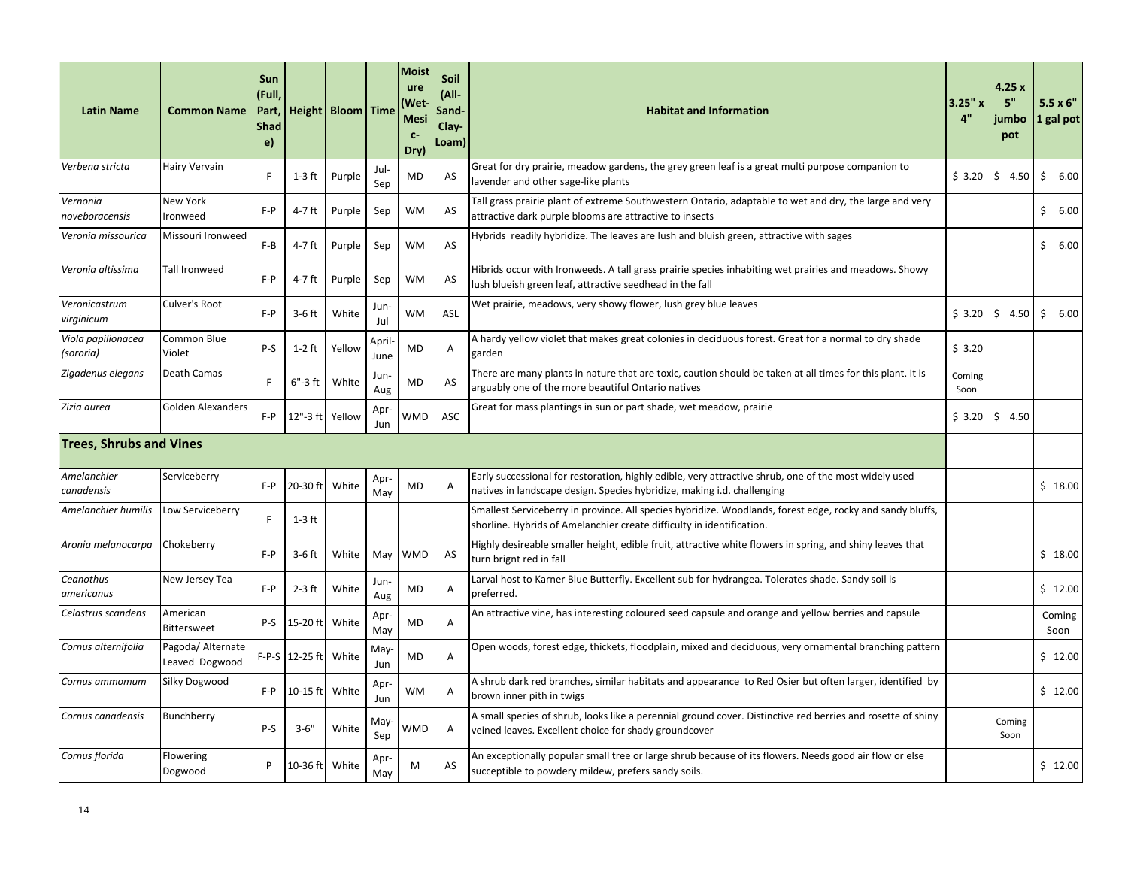| <b>Latin Name</b>               | <b>Common Name</b>                  | Sun<br>(Full,<br>Part,<br><b>Shad</b><br>e) |                 | Height   Bloom   Time |               | <b>Moist</b><br>ure<br>(Wet<br><b>Mesi</b><br>$C-$<br>Dry) | <b>Soil</b><br>$(AII -$<br>Sand-<br>Clay-<br>Loam) | <b>Habitat and Information</b>                                                                                                                                                     | $3.25"$ x<br>4" | 4.25x<br>5"<br>jumbo<br>pot | $5.5 \times 6$ "<br>1 gal pot |
|---------------------------------|-------------------------------------|---------------------------------------------|-----------------|-----------------------|---------------|------------------------------------------------------------|----------------------------------------------------|------------------------------------------------------------------------------------------------------------------------------------------------------------------------------------|-----------------|-----------------------------|-------------------------------|
| Verbena stricta                 | <b>Hairy Vervain</b>                | F                                           | $1-3$ ft        | Purple                | Jul-<br>Sep   | MD                                                         | AS                                                 | Great for dry prairie, meadow gardens, the grey green leaf is a great multi purpose companion to<br>lavender and other sage-like plants                                            | \$3.20          | \$4.50                      | \$<br>6.00                    |
| Vernonia<br>noveboracensis      | <b>New York</b><br>Ironweed         | $F - P$                                     | 4-7 ft          | Purple                | Sep           | <b>WM</b>                                                  | AS                                                 | Tall grass prairie plant of extreme Southwestern Ontario, adaptable to wet and dry, the large and very<br>attractive dark purple blooms are attractive to insects                  |                 |                             | \$6.00                        |
| Veronia missourica              | Missouri Ironweed                   | $F-B$                                       | 4-7 ft          | Purple                | Sep           | <b>WM</b>                                                  | AS                                                 | Hybrids readily hybridize. The leaves are lush and bluish green, attractive with sages                                                                                             |                 |                             | \$6.00                        |
| Veronia altissima               | <b>Tall Ironweed</b>                | $F - P$                                     | 4-7 ft          | Purple                | Sep           | <b>WM</b>                                                  | AS                                                 | Hibrids occur with Ironweeds. A tall grass prairie species inhabiting wet prairies and meadows. Showy<br>lush blueish green leaf, attractive seedhead in the fall                  |                 |                             |                               |
| Veronicastrum<br>virginicum     | Culver's Root                       | $F - P$                                     | $3-6$ ft        | White                 | Jun-<br>Jul   | <b>WM</b>                                                  | ASL                                                | Wet prairie, meadows, very showy flower, lush grey blue leaves                                                                                                                     | \$3.20          | \$4.50                      | \$6.00                        |
| Viola papilionacea<br>(sororia) | Common Blue<br>Violet               | P-S                                         | $1-2$ ft        | Yellow                | April<br>June | MD                                                         | A                                                  | A hardy yellow violet that makes great colonies in deciduous forest. Great for a normal to dry shade<br>garden                                                                     | \$3.20          |                             |                               |
| Zigadenus elegans               | Death Camas                         | F                                           | $6" - 3$ ft     | White                 | Jun-<br>Aug   | <b>MD</b>                                                  | AS                                                 | There are many plants in nature that are toxic, caution should be taken at all times for this plant. It is<br>arguably one of the more beautiful Ontario natives                   | Coming<br>Soon  |                             |                               |
| Zizia aurea                     | <b>Golden Alexanders</b>            | $F - P$                                     | 12"-3 ft Yellow |                       | Apr<br>Jun    | WMD                                                        | ASC                                                | Great for mass plantings in sun or part shade, wet meadow, prairie                                                                                                                 | \$3.20          | \$4.50                      |                               |
| <b>Trees, Shrubs and Vines</b>  |                                     |                                             |                 |                       |               |                                                            |                                                    |                                                                                                                                                                                    |                 |                             |                               |
| Amelanchier<br>canadensis       | Serviceberry                        | $F - P$                                     | 20-30 ft        | White                 | Apr<br>May    | <b>MD</b>                                                  | A                                                  | Early successional for restoration, highly edible, very attractive shrub, one of the most widely used<br>natives in landscape design. Species hybridize, making i.d. challenging   |                 |                             | \$18.00                       |
| Amelanchier humilis             | Low Serviceberry                    | F                                           | $1-3$ ft        |                       |               |                                                            |                                                    | Smallest Serviceberry in province. All species hybridize. Woodlands, forest edge, rocky and sandy bluffs,<br>shorline. Hybrids of Amelanchier create difficulty in identification. |                 |                             |                               |
| Aronia melanocarpa              | Chokeberry                          | $F - P$                                     | $3-6$ ft        | White                 | May           | <b>WMD</b>                                                 | <b>AS</b>                                          | Highly desireable smaller height, edible fruit, attractive white flowers in spring, and shiny leaves that<br>turn brignt red in fall                                               |                 |                             | \$18.00                       |
| Ceanothus<br>americanus         | New Jersey Tea                      | $F - P$                                     | $2-3$ ft        | White                 | Jun-<br>Aug   | MD                                                         | A                                                  | Larval host to Karner Blue Butterfly. Excellent sub for hydrangea. Tolerates shade. Sandy soil is<br>preferred.                                                                    |                 |                             | \$12.00                       |
| Celastrus scandens              | American<br>Bittersweet             | P-S                                         | 15-20 ft        | White                 | Apr-<br>May   | <b>MD</b>                                                  | Α                                                  | An attractive vine, has interesting coloured seed capsule and orange and yellow berries and capsule                                                                                |                 |                             | Coming<br>Soon                |
| Cornus alternifolia             | Pagoda/ Alternate<br>Leaved Dogwood |                                             | F-P-S 12-25 ft  | White                 | May-<br>Jun   | MD                                                         | A                                                  | Open woods, forest edge, thickets, floodplain, mixed and deciduous, very ornamental branching pattern                                                                              |                 |                             | \$12.00                       |
| Cornus ammomum                  | <b>Silky Dogwood</b>                | $F - P$                                     | $10-15$ ft      | White                 | Apr<br>Jun    | <b>WM</b>                                                  | A                                                  | A shrub dark red branches, similar habitats and appearance to Red Osier but often larger, identified by<br>brown inner pith in twigs                                               |                 |                             | \$12.00                       |
| Cornus canadensis               | Bunchberry                          | P-S                                         | $3 - 6"$        | White                 | May<br>Sep    | WMD                                                        | A                                                  | A small species of shrub, looks like a perennial ground cover. Distinctive red berries and rosette of shiny<br>veined leaves. Excellent choice for shady groundcover               |                 | Coming<br>Soon              |                               |
| Cornus florida                  | Flowering<br>Dogwood                | P                                           | 10-36 ft        | White                 | Apr-<br>May   | M                                                          | AS                                                 | An exceptionally popular small tree or large shrub because of its flowers. Needs good air flow or else<br>succeptible to powdery mildew, prefers sandy soils.                      |                 |                             | \$12.00                       |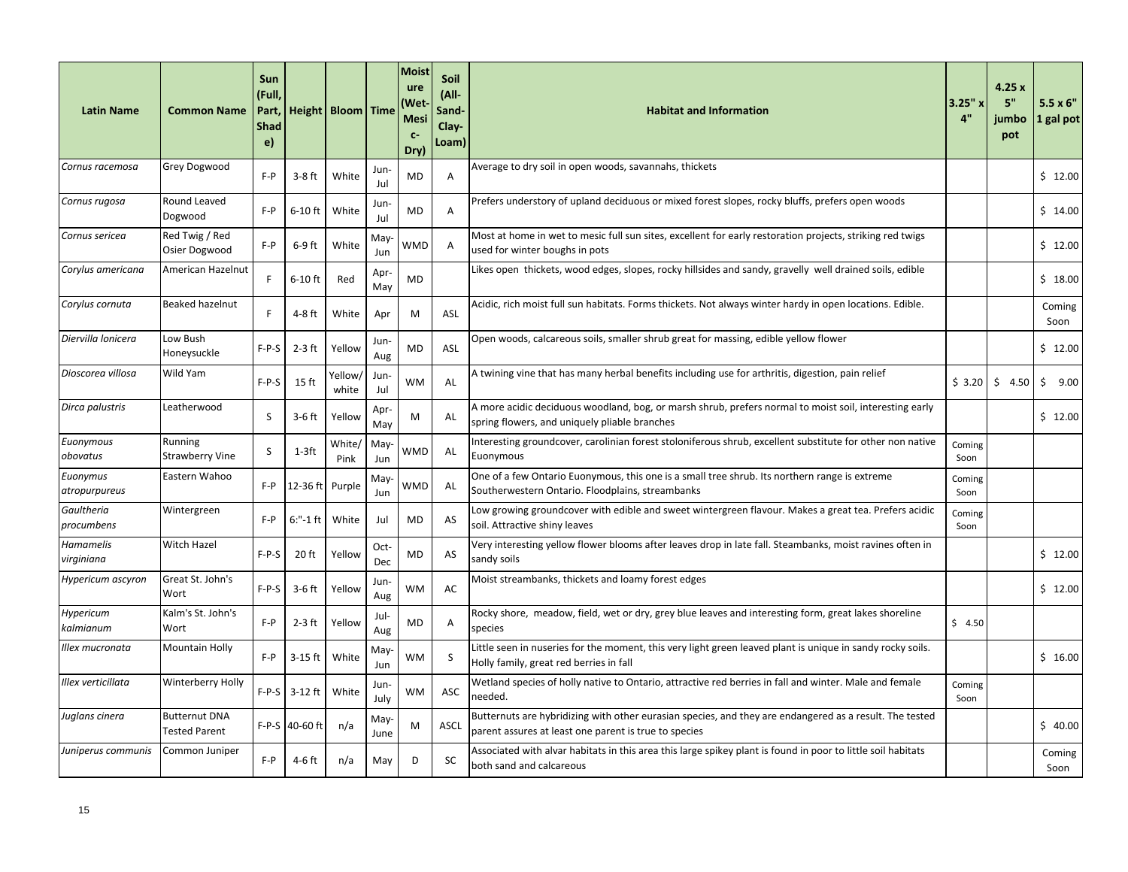| <b>Latin Name</b>         | <b>Common Name</b>                           | Sun<br>(Full,<br>Part,<br><b>Shad</b><br>e) |                | Height   Bloom   Time |              | Moist<br>ure<br>(Wet<br><b>Mesi</b><br>$C-$<br>Dry) | Soil<br>(All-<br>Sand-<br>Clay-<br>Loam) | <b>Habitat and Information</b>                                                                                                                                   | 3.25"x<br>4"   | 4.25x<br>5"<br>jumbo<br>pot | $5.5 \times 6"$<br>1 gal pot |
|---------------------------|----------------------------------------------|---------------------------------------------|----------------|-----------------------|--------------|-----------------------------------------------------|------------------------------------------|------------------------------------------------------------------------------------------------------------------------------------------------------------------|----------------|-----------------------------|------------------------------|
| Cornus racemosa           | <b>Grey Dogwood</b>                          | $F - P$                                     | $3-8$ ft       | White                 | Jun-<br>Jul  | <b>MD</b>                                           | Α                                        | Average to dry soil in open woods, savannahs, thickets                                                                                                           |                |                             | \$12.00                      |
| Cornus rugosa             | Round Leaved<br>Dogwood                      | $F - P$                                     | $6-10$ ft      | White                 | Jun-<br>Jul  | MD                                                  | Α                                        | Prefers understory of upland deciduous or mixed forest slopes, rocky bluffs, prefers open woods                                                                  |                |                             | \$14.00                      |
| Cornus sericea            | Red Twig / Red<br>Osier Dogwood              | $F - P$                                     | $6-9$ ft       | White                 | May<br>Jun   | WMD                                                 | A                                        | Most at home in wet to mesic full sun sites, excellent for early restoration projects, striking red twigs<br>used for winter boughs in pots                      |                |                             | \$12.00                      |
| Corylus americana         | American Hazelnut                            | F.                                          | $6-10$ ft      | Red                   | Apr-<br>May  | MD                                                  |                                          | Likes open thickets, wood edges, slopes, rocky hillsides and sandy, gravelly well drained soils, edible                                                          |                |                             | \$18.00                      |
| Corylus cornuta           | Beaked hazelnut                              | F                                           | 4-8 ft         | White                 | Apr          | M                                                   | ASL                                      | Acidic, rich moist full sun habitats. Forms thickets. Not always winter hardy in open locations. Edible.                                                         |                |                             | Coming<br>Soon               |
| Diervilla lonicera        | Low Bush<br>Honeysuckle                      | $F-P-S$                                     | $2-3$ ft       | Yellow                | Jun-<br>Aug  | MD                                                  | ASL                                      | Open woods, calcareous soils, smaller shrub great for massing, edible yellow flower                                                                              |                |                             | \$12.00                      |
| Dioscorea villosa         | Wild Yam                                     | $F-P-S$                                     | 15 ft          | Yellow,<br>white      | Jun-<br>Jul  | <b>WM</b>                                           | AL                                       | A twining vine that has many herbal benefits including use for arthritis, digestion, pain relief                                                                 | \$3.20         | \$4.50                      | \$<br>9.00                   |
| Dirca palustris           | Leatherwood                                  | S                                           | $3-6$ ft       | Yellow                | Apr<br>May   | M                                                   | AL                                       | A more acidic deciduous woodland, bog, or marsh shrub, prefers normal to moist soil, interesting early<br>spring flowers, and uniquely pliable branches          |                |                             | \$12.00                      |
| Euonymous<br>obovatus     | Running<br><b>Strawberry Vine</b>            | S                                           | $1-3ft$        | White/<br>Pink        | May-<br>Jun  | WMD                                                 | AL                                       | Interesting groundcover, carolinian forest stoloniferous shrub, excellent substitute for other non native<br>Euonymous                                           | Coming<br>Soon |                             |                              |
| Euonymus<br>atropurpureus | Eastern Wahoo                                | $F - P$                                     | 12-36 ft       | Purple                | May<br>Jun   | WMD                                                 | AL                                       | One of a few Ontario Euonymous, this one is a small tree shrub. Its northern range is extreme<br>Southerwestern Ontario. Floodplains, streambanks                | Coming<br>Soon |                             |                              |
| Gaultheria<br>procumbens  | Wintergreen                                  | $F - P$                                     | $6: -1$ ft     | White                 | Jul          | MD                                                  | AS                                       | Low growing groundcover with edible and sweet wintergreen flavour. Makes a great tea. Prefers acidic<br>soil. Attractive shiny leaves                            | Coming<br>Soon |                             |                              |
| Hamamelis<br>virginiana   | Witch Hazel                                  | $F-P-S$                                     | 20 ft          | Yellow                | Oct-<br>Dec  | MD                                                  | AS                                       | Very interesting yellow flower blooms after leaves drop in late fall. Steambanks, moist ravines often in<br>sandy soils                                          |                |                             | \$12.00                      |
| Hypericum ascyron         | Great St. John's<br>Wort                     | F-P-S                                       | 3-6 ft         | Yellow                | Jun-<br>Aug  | <b>WM</b>                                           | AC                                       | Moist streambanks, thickets and loamy forest edges                                                                                                               |                |                             | \$12.00                      |
| Hypericum<br>kalmianum    | Kalm's St. John's<br>Wort                    | $F - P$                                     | $2-3$ ft       | Yellow                | Jul-<br>Aug  | MD                                                  | A                                        | Rocky shore, meadow, field, wet or dry, grey blue leaves and interesting form, great lakes shoreline<br>species                                                  | \$4.50         |                             |                              |
| Illex mucronata           | <b>Mountain Holly</b>                        | $F - P$                                     | $3-15$ ft      | White                 | May<br>Jun   | <b>WM</b>                                           | S                                        | Little seen in nuseries for the moment, this very light green leaved plant is unique in sandy rocky soils.<br>Holly family, great red berries in fall            |                |                             | \$16.00                      |
| Illex verticillata        | Winterberry Holly                            | $F-P-S$                                     | 3-12 ft        | White                 | Jun-<br>July | <b>WM</b>                                           | ASC                                      | Wetland species of holly native to Ontario, attractive red berries in fall and winter. Male and female<br>needed.                                                | Coming<br>Soon |                             |                              |
| Juglans cinera            | <b>Butternut DNA</b><br><b>Tested Parent</b> |                                             | F-P-S 40-60 ft | n/a                   | May<br>June  | M                                                   | <b>ASCL</b>                              | Butternuts are hybridizing with other eurasian species, and they are endangered as a result. The tested<br>parent assures at least one parent is true to species |                |                             | \$40.00                      |
| Juniperus communis        | Common Juniper                               | $F - P$                                     | 4-6 ft         | n/a                   | May          | D                                                   | <b>SC</b>                                | Associated with alvar habitats in this area this large spikey plant is found in poor to little soil habitats<br>both sand and calcareous                         |                |                             | Coming<br>Soon               |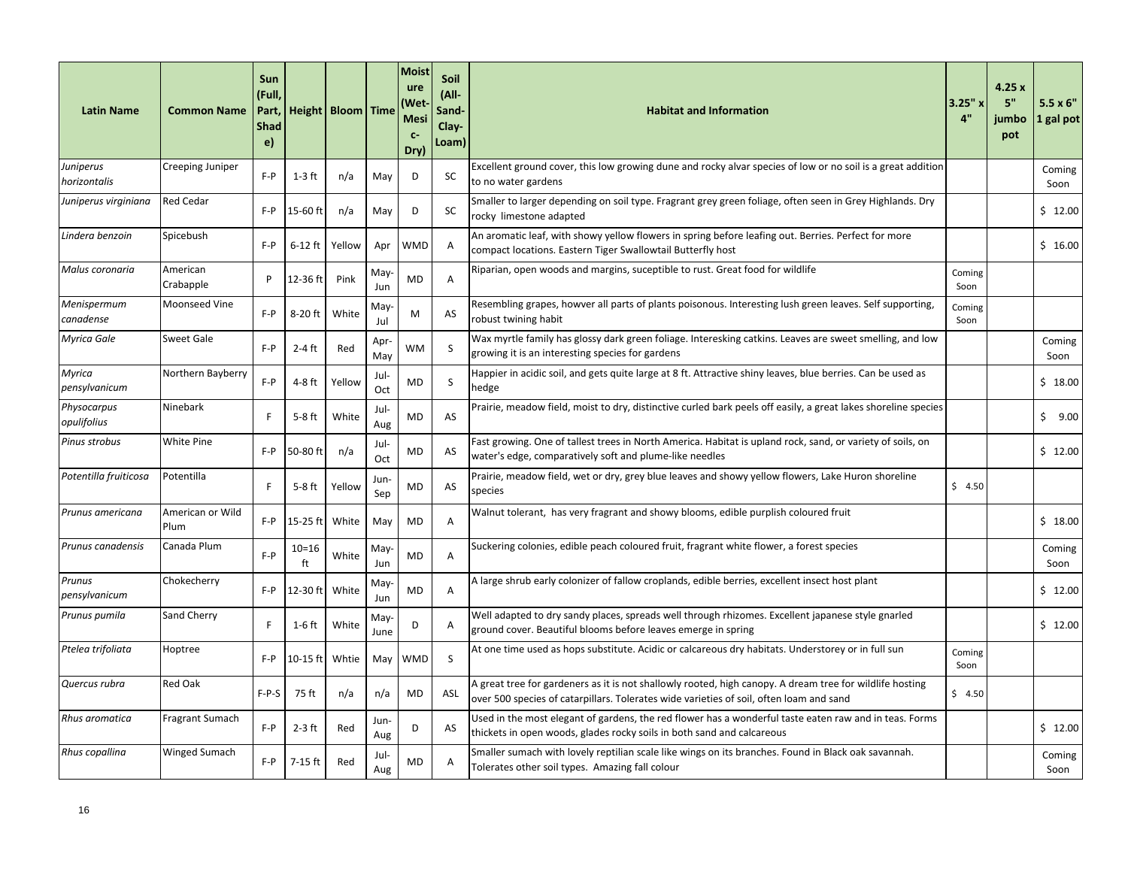| <b>Latin Name</b>          | <b>Common Name</b>       | Sun<br>(Full,<br>Part,<br><b>Shad</b><br>e) |                 | Height   Bloom   Time |              | <b>Moist</b><br>ure<br>Wet)<br><b>Mesi</b><br>$C-$<br>Dry) | <b>Soil</b><br>(All-<br>Sand-<br>Clay-<br>Loam) | <b>Habitat and Information</b>                                                                                                                                                                      | 3.25"x<br>4"   | 4.25x<br>5"<br>jumbo<br>pot | $5.5 \times 6"$<br>1 gal pot |
|----------------------------|--------------------------|---------------------------------------------|-----------------|-----------------------|--------------|------------------------------------------------------------|-------------------------------------------------|-----------------------------------------------------------------------------------------------------------------------------------------------------------------------------------------------------|----------------|-----------------------------|------------------------------|
| Juniperus<br>horizontalis  | Creeping Juniper         | $F - P$                                     | $1-3$ ft        | n/a                   | May          | D                                                          | <b>SC</b>                                       | Excellent ground cover, this low growing dune and rocky alvar species of low or no soil is a great addition<br>to no water gardens                                                                  |                |                             | Coming<br>Soon               |
| Juniperus virginiana       | <b>Red Cedar</b>         | F-P                                         | 15-60 ft        | n/a                   | May          | D                                                          | SC                                              | Smaller to larger depending on soil type. Fragrant grey green foliage, often seen in Grey Highlands. Dry<br>rocky limestone adapted                                                                 |                |                             | \$12.00                      |
| Lindera benzoin            | Spicebush                | F-P                                         | $6-12$ ft       | Yellow                | Apr          | <b>WMD</b>                                                 | A                                               | An aromatic leaf, with showy yellow flowers in spring before leafing out. Berries. Perfect for more<br>compact locations. Eastern Tiger Swallowtail Butterfly host                                  |                |                             | \$16.00                      |
| Malus coronaria            | American<br>Crabapple    | P                                           | 12-36 ft        | Pink                  | May-<br>Jun  | MD                                                         | Α                                               | Riparian, open woods and margins, suceptible to rust. Great food for wildlife                                                                                                                       | Coming<br>Soon |                             |                              |
| Menispermum<br>canadense   | Moonseed Vine            | $F - P$                                     | 8-20 ft         | White                 | May-<br>Jul  | M                                                          | AS                                              | Resembling grapes, howver all parts of plants poisonous. Interesting lush green leaves. Self supporting,<br>robust twining habit                                                                    | Coming<br>Soon |                             |                              |
| Myrica Gale                | <b>Sweet Gale</b>        | $F - P$                                     | $2-4$ ft        | Red                   | Apr<br>May   | <b>WM</b>                                                  | S                                               | Wax myrtle family has glossy dark green foliage. Interesking catkins. Leaves are sweet smelling, and low<br>growing it is an interesting species for gardens                                        |                |                             | Coming<br>Soon               |
| Myrica<br>pensylvanicum    | Northern Bayberry        | $F - P$                                     | $4-8$ ft        | Yellow                | Jul-<br>Oct  | MD                                                         | S                                               | Happier in acidic soil, and gets quite large at 8 ft. Attractive shiny leaves, blue berries. Can be used as<br>hedge                                                                                |                |                             | \$18.00                      |
| Physocarpus<br>opulifolius | Ninebark                 | F                                           | 5-8 ft          | White                 | Jul-<br>Aug  | <b>MD</b>                                                  | AS                                              | Prairie, meadow field, moist to dry, distinctive curled bark peels off easily, a great lakes shoreline species                                                                                      |                |                             | Ŝ.<br>9.00                   |
| Pinus strobus              | <b>White Pine</b>        | F-P                                         | 50-80 ft        | n/a                   | Jul-<br>Oct  | MD                                                         | AS                                              | Fast growing. One of tallest trees in North America. Habitat is upland rock, sand, or variety of soils, on<br>water's edge, comparatively soft and plume-like needles                               |                |                             | \$12.00                      |
| Potentilla fruiticosa      | Potentilla               | F                                           | $5-8$ ft        | Yellow                | Jun-<br>Sep  | MD                                                         | AS                                              | Prairie, meadow field, wet or dry, grey blue leaves and showy yellow flowers, Lake Huron shoreline<br>species                                                                                       | \$4.50         |                             |                              |
| Prunus americana           | American or Wild<br>Plum | $F - P$                                     | 15-25 ft        | White                 | May          | MD                                                         | Α                                               | Walnut tolerant, has very fragrant and showy blooms, edible purplish coloured fruit                                                                                                                 |                |                             | \$18.00                      |
| Prunus canadensis          | Canada Plum              | $F - P$                                     | $10 = 16$<br>ft | White                 | May-<br>Jun  | MD                                                         | A                                               | Suckering colonies, edible peach coloured fruit, fragrant white flower, a forest species                                                                                                            |                |                             | Coming<br>Soon               |
| Prunus<br>pensylvanicum    | Chokecherry              | F-P                                         | 12-30 ft        | White                 | May-<br>Jun  | <b>MD</b>                                                  | A                                               | A large shrub early colonizer of fallow croplands, edible berries, excellent insect host plant                                                                                                      |                |                             | \$12.00                      |
| Prunus pumila              | Sand Cherry              | F                                           | 1-6 ft          | White                 | May-<br>June | D                                                          | A                                               | Well adapted to dry sandy places, spreads well through rhizomes. Excellent japanese style gnarled<br>ground cover. Beautiful blooms before leaves emerge in spring                                  |                |                             | \$12.00                      |
| Ptelea trifoliata          | Hoptree                  | $F - P$                                     | 10-15 ft        | Whtie                 | May          | WMD                                                        | <sub>S</sub>                                    | At one time used as hops substitute. Acidic or calcareous dry habitats. Understorey or in full sun                                                                                                  | Coming<br>Soon |                             |                              |
| Quercus rubra              | Red Oak                  | $F-P-S$                                     | 75 ft           | n/a                   | n/a          | <b>MD</b>                                                  | ASL                                             | A great tree for gardeners as it is not shallowly rooted, high canopy. A dream tree for wildlife hosting<br>over 500 species of catarpillars. Tolerates wide varieties of soil, often loam and sand | \$4.50         |                             |                              |
| Rhus aromatica             | Fragrant Sumach          | $F - P$                                     | $2-3$ ft        | Red                   | Jun-<br>Aug  | D                                                          | AS                                              | Used in the most elegant of gardens, the red flower has a wonderful taste eaten raw and in teas. Forms<br>thickets in open woods, glades rocky soils in both sand and calcareous                    |                |                             | \$12.00                      |
| Rhus copallina             | <b>Winged Sumach</b>     | $F - P$                                     | 7-15 ft         | Red                   | Jul-<br>Aug  | MD                                                         | A                                               | Smaller sumach with lovely reptilian scale like wings on its branches. Found in Black oak savannah.<br>Tolerates other soil types. Amazing fall colour                                              |                |                             | Coming<br>Soon               |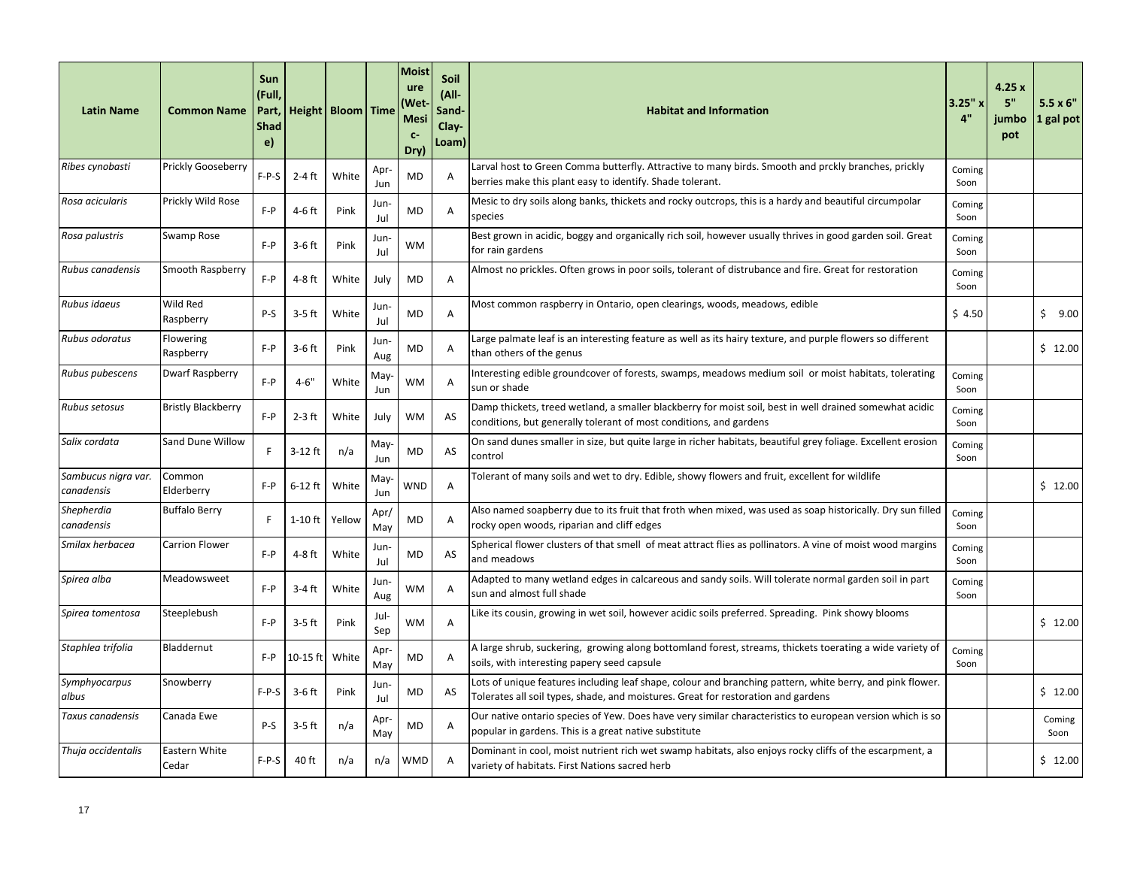| <b>Latin Name</b>                 | <b>Common Name</b>        | Sun<br>(Full,<br>Part,<br><b>Shad</b><br>e) |           | Height   Bloom   Time |             | <b>Moist</b><br>ure<br>Wet)<br><b>Mesi</b><br>$C-$<br>Dry) | Soil<br>$(AII -$<br>Sand-<br>Clay-<br>Loam) | <b>Habitat and Information</b>                                                                                                                                                                 | $3.25"$ x<br>4" | 4.25x<br>5"<br>jumbo<br>pot | $5.5 \times 6"$<br>1 gal pot |
|-----------------------------------|---------------------------|---------------------------------------------|-----------|-----------------------|-------------|------------------------------------------------------------|---------------------------------------------|------------------------------------------------------------------------------------------------------------------------------------------------------------------------------------------------|-----------------|-----------------------------|------------------------------|
| Ribes cynobasti                   | Prickly Gooseberry        | $F-P-S$                                     | 2-4 ft    | White                 | Apr<br>Jun  | MD                                                         | A                                           | Larval host to Green Comma butterfly. Attractive to many birds. Smooth and prckly branches, prickly<br>berries make this plant easy to identify. Shade tolerant.                               | Coming<br>Soon  |                             |                              |
| Rosa acicularis                   | Prickly Wild Rose         | $F - P$                                     | 4-6 ft    | Pink                  | Jun-<br>Jul | MD                                                         | A                                           | Mesic to dry soils along banks, thickets and rocky outcrops, this is a hardy and beautiful circumpolar<br>species                                                                              | Coming<br>Soon  |                             |                              |
| Rosa palustris                    | Swamp Rose                | $F - P$                                     | $3-6$ ft  | Pink                  | Jun-<br>Jul | WM                                                         |                                             | Best grown in acidic, boggy and organically rich soil, however usually thrives in good garden soil. Great<br>for rain gardens                                                                  | Coming<br>Soon  |                             |                              |
| Rubus canadensis                  | Smooth Raspberry          | $F - P$                                     | 4-8 ft    | White                 | July        | MD                                                         | Α                                           | Almost no prickles. Often grows in poor soils, tolerant of distrubance and fire. Great for restoration                                                                                         | Coming<br>Soon  |                             |                              |
| Rubus idaeus                      | Wild Red<br>Raspberry     | P-S                                         | $3-5$ ft  | White                 | Jun-<br>Jul | MD                                                         | A                                           | Most common raspberry in Ontario, open clearings, woods, meadows, edible                                                                                                                       | \$4.50          |                             | \$9.00                       |
| Rubus odoratus                    | Flowering<br>Raspberry    | $F - P$                                     | $3-6$ ft  | Pink                  | Jun<br>Aug  | MD                                                         | A                                           | Large palmate leaf is an interesting feature as well as its hairy texture, and purple flowers so different<br>than others of the genus                                                         |                 |                             | \$12.00                      |
| Rubus pubescens                   | <b>Dwarf Raspberry</b>    | $F - P$                                     | $4 - 6"$  | White                 | May-<br>Jun | WM                                                         | A                                           | Interesting edible groundcover of forests, swamps, meadows medium soil or moist habitats, tolerating<br>sun or shade                                                                           | Coming<br>Soon  |                             |                              |
| Rubus setosus                     | <b>Bristly Blackberry</b> | $F - P$                                     | $2-3$ ft  | White                 | July        | <b>WM</b>                                                  | AS                                          | Damp thickets, treed wetland, a smaller blackberry for moist soil, best in well drained somewhat acidic<br>conditions, but generally tolerant of most conditions, and gardens                  | Coming<br>Soon  |                             |                              |
| Salix cordata                     | Sand Dune Willow          | F                                           | $3-12$ ft | n/a                   | May-<br>Jun | <b>MD</b>                                                  | AS                                          | On sand dunes smaller in size, but quite large in richer habitats, beautiful grey foliage. Excellent erosion<br>control                                                                        | Coming<br>Soon  |                             |                              |
| Sambucus nigra var.<br>canadensis | Common<br>Elderberry      | $F - P$                                     | $6-12$ ft | White                 | May-<br>Jun | WND                                                        | A                                           | Tolerant of many soils and wet to dry. Edible, showy flowers and fruit, excellent for wildlife                                                                                                 |                 |                             | \$12.00                      |
| Shepherdia<br>canadensis          | <b>Buffalo Berry</b>      | F                                           | 1-10 ft   | Yellow                | Apr/<br>May | MD.                                                        | A                                           | Also named soapberry due to its fruit that froth when mixed, was used as soap historically. Dry sun filled<br>rocky open woods, riparian and cliff edges                                       | Coming<br>Soon  |                             |                              |
| Smilax herbacea                   | Carrion Flower            | $F - P$                                     | 4-8 ft    | White                 | Jun-<br>Jul | <b>MD</b>                                                  | AS                                          | Spherical flower clusters of that smell of meat attract flies as pollinators. A vine of moist wood margins<br>and meadows                                                                      | Coming<br>Soon  |                             |                              |
| Spirea alba                       | Meadowsweet               | $F - P$                                     | 3-4 ft    | White                 | Jun-<br>Aug | <b>WM</b>                                                  | A                                           | Adapted to many wetland edges in calcareous and sandy soils. Will tolerate normal garden soil in part<br>sun and almost full shade                                                             | Coming<br>Soon  |                             |                              |
| Spirea tomentosa                  | Steeplebush               | $F - P$                                     | $3-5$ ft  | Pink                  | Jul-<br>Sep | WM                                                         | Α                                           | Like its cousin, growing in wet soil, however acidic soils preferred. Spreading. Pink showy blooms                                                                                             |                 |                             | \$12.00                      |
| Staphlea trifolia                 | Bladdernut                | $F - P$                                     | 10-15 ft  | White                 | Apr-<br>May | <b>MD</b>                                                  | A                                           | A large shrub, suckering, growing along bottomland forest, streams, thickets toerating a wide variety of<br>soils, with interesting papery seed capsule                                        | Coming<br>Soon  |                             |                              |
| Symphyocarpus<br>albus            | Snowberry                 | $F-P-S$                                     | $3-6$ ft  | Pink                  | Jun-<br>Jul | MD                                                         | AS                                          | Lots of unique features including leaf shape, colour and branching pattern, white berry, and pink flower.<br>Tolerates all soil types, shade, and moistures. Great for restoration and gardens |                 |                             | \$12.00                      |
| Taxus canadensis                  | Canada Ewe                | P-S                                         | $3-5$ ft  | n/a                   | Apr<br>May  | MD                                                         | A                                           | Our native ontario species of Yew. Does have very similar characteristics to european version which is so<br>popular in gardens. This is a great native substitute                             |                 |                             | Coming<br>Soon               |
| Thuja occidentalis                | Eastern White<br>Cedar    | $F-P-S$                                     | 40 ft     | n/a                   | n/a         | <b>WMD</b>                                                 | A                                           | Dominant in cool, moist nutrient rich wet swamp habitats, also enjoys rocky cliffs of the escarpment, a<br>variety of habitats. First Nations sacred herb                                      |                 |                             | \$12.00                      |